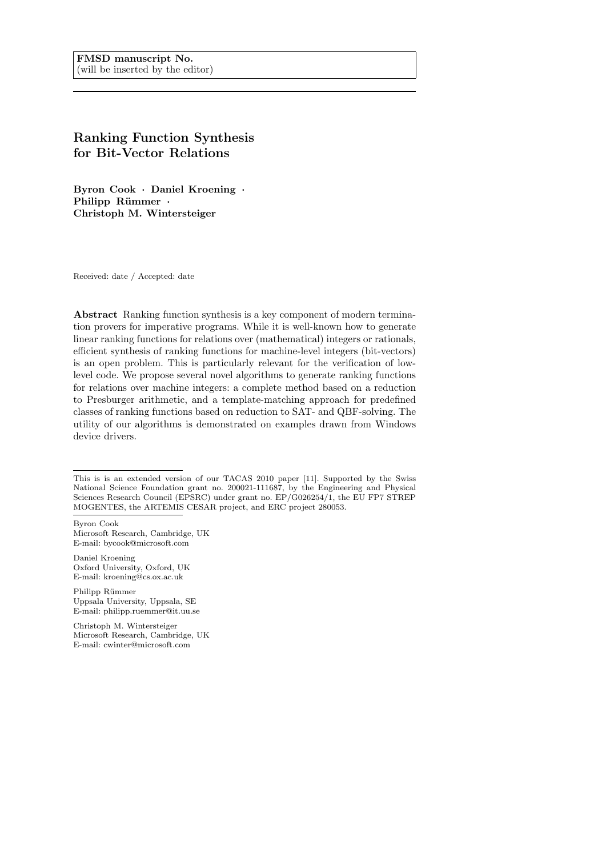# Ranking Function Synthesis for Bit-Vector Relations

Byron Cook · Daniel Kroening · Philipp Rümmer · Christoph M. Wintersteiger

Received: date / Accepted: date

Abstract Ranking function synthesis is a key component of modern termination provers for imperative programs. While it is well-known how to generate linear ranking functions for relations over (mathematical) integers or rationals, efficient synthesis of ranking functions for machine-level integers (bit-vectors) is an open problem. This is particularly relevant for the verification of lowlevel code. We propose several novel algorithms to generate ranking functions for relations over machine integers: a complete method based on a reduction to Presburger arithmetic, and a template-matching approach for predefined classes of ranking functions based on reduction to SAT- and QBF-solving. The utility of our algorithms is demonstrated on examples drawn from Windows device drivers.

Byron Cook Microsoft Research, Cambridge, UK E-mail: bycook@microsoft.com

Daniel Kroening Oxford University, Oxford, UK E-mail: kroening@cs.ox.ac.uk

Philipp Rümmer Uppsala University, Uppsala, SE E-mail: philipp.ruemmer@it.uu.se

Christoph M. Wintersteiger Microsoft Research, Cambridge, UK E-mail: cwinter@microsoft.com

This is is an extended version of our TACAS 2010 paper [11]. Supported by the Swiss National Science Foundation grant no. 200021-111687, by the Engineering and Physical Sciences Research Council (EPSRC) under grant no. EP/G026254/1, the EU FP7 STREP MOGENTES, the ARTEMIS CESAR project, and ERC project 280053.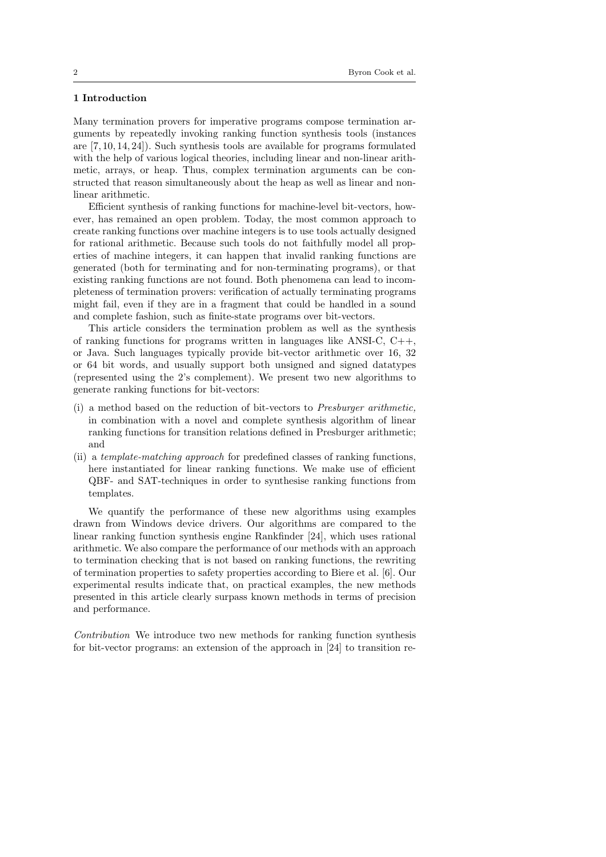# 1 Introduction

Many termination provers for imperative programs compose termination arguments by repeatedly invoking ranking function synthesis tools (instances are [7, 10, 14, 24]). Such synthesis tools are available for programs formulated with the help of various logical theories, including linear and non-linear arithmetic, arrays, or heap. Thus, complex termination arguments can be constructed that reason simultaneously about the heap as well as linear and nonlinear arithmetic.

Efficient synthesis of ranking functions for machine-level bit-vectors, however, has remained an open problem. Today, the most common approach to create ranking functions over machine integers is to use tools actually designed for rational arithmetic. Because such tools do not faithfully model all properties of machine integers, it can happen that invalid ranking functions are generated (both for terminating and for non-terminating programs), or that existing ranking functions are not found. Both phenomena can lead to incompleteness of termination provers: verification of actually terminating programs might fail, even if they are in a fragment that could be handled in a sound and complete fashion, such as finite-state programs over bit-vectors.

This article considers the termination problem as well as the synthesis of ranking functions for programs written in languages like ANSI-C,  $C_{++}$ , or Java. Such languages typically provide bit-vector arithmetic over 16, 32 or 64 bit words, and usually support both unsigned and signed datatypes (represented using the 2's complement). We present two new algorithms to generate ranking functions for bit-vectors:

- (i) a method based on the reduction of bit-vectors to Presburger arithmetic, in combination with a novel and complete synthesis algorithm of linear ranking functions for transition relations defined in Presburger arithmetic; and
- (ii) a template-matching approach for predefined classes of ranking functions, here instantiated for linear ranking functions. We make use of efficient QBF- and SAT-techniques in order to synthesise ranking functions from templates.

We quantify the performance of these new algorithms using examples drawn from Windows device drivers. Our algorithms are compared to the linear ranking function synthesis engine Rankfinder [24], which uses rational arithmetic. We also compare the performance of our methods with an approach to termination checking that is not based on ranking functions, the rewriting of termination properties to safety properties according to Biere et al. [6]. Our experimental results indicate that, on practical examples, the new methods presented in this article clearly surpass known methods in terms of precision and performance.

Contribution We introduce two new methods for ranking function synthesis for bit-vector programs: an extension of the approach in [24] to transition re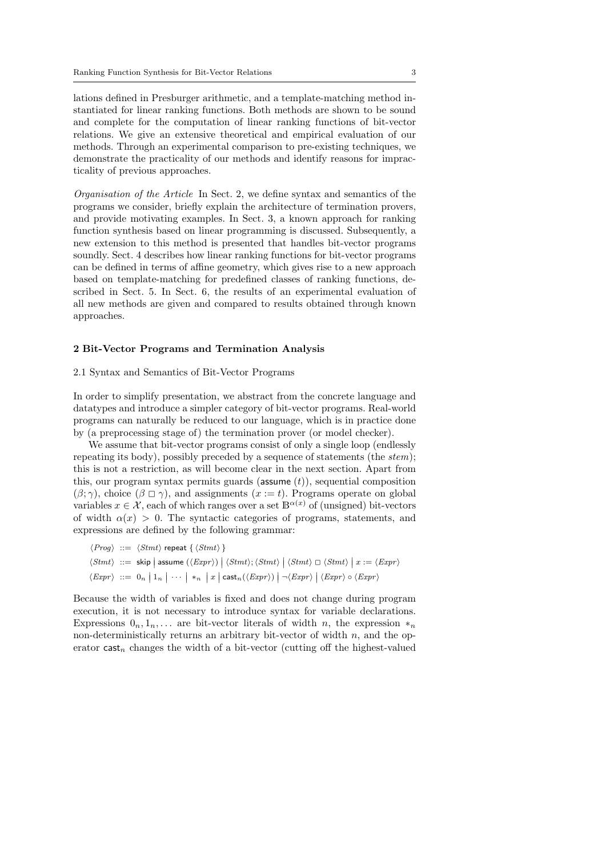lations defined in Presburger arithmetic, and a template-matching method instantiated for linear ranking functions. Both methods are shown to be sound and complete for the computation of linear ranking functions of bit-vector relations. We give an extensive theoretical and empirical evaluation of our methods. Through an experimental comparison to pre-existing techniques, we demonstrate the practicality of our methods and identify reasons for impracticality of previous approaches.

Organisation of the Article In Sect. 2, we define syntax and semantics of the programs we consider, briefly explain the architecture of termination provers, and provide motivating examples. In Sect. 3, a known approach for ranking function synthesis based on linear programming is discussed. Subsequently, a new extension to this method is presented that handles bit-vector programs soundly. Sect. 4 describes how linear ranking functions for bit-vector programs can be defined in terms of affine geometry, which gives rise to a new approach based on template-matching for predefined classes of ranking functions, described in Sect. 5. In Sect. 6, the results of an experimental evaluation of all new methods are given and compared to results obtained through known approaches.

# 2 Bit-Vector Programs and Termination Analysis

# 2.1 Syntax and Semantics of Bit-Vector Programs

In order to simplify presentation, we abstract from the concrete language and datatypes and introduce a simpler category of bit-vector programs. Real-world programs can naturally be reduced to our language, which is in practice done by (a preprocessing stage of) the termination prover (or model checker).

We assume that bit-vector programs consist of only a single loop (endlessly repeating its body), possibly preceded by a sequence of statements (the *stem*); this is not a restriction, as will become clear in the next section. Apart from this, our program syntax permits guards (assume  $(t)$ ), sequential composition  $(\beta; \gamma)$ , choice  $(\beta \square \gamma)$ , and assignments  $(x := t)$ . Programs operate on global variables  $x \in \mathcal{X}$ , each of which ranges over a set  $\mathbb{B}^{\alpha(x)}$  of (unsigned) bit-vectors of width  $\alpha(x) > 0$ . The syntactic categories of programs, statements, and expressions are defined by the following grammar:

$$
\langle Prop \rangle ::= \langle Stmt \rangle \text{ repeat } \{ \langle Stmt \rangle \}
$$
\n
$$
\langle Stmt \rangle ::= \text{skip} \mid \text{assume } (\langle Expr \rangle) \mid \langle Stmt \rangle; \langle Stmt \rangle \mid \langle Stmt \rangle \sqcup \langle Stmt \rangle \mid x := \langle Expr \rangle
$$
\n
$$
\langle Expr \rangle ::= 0_n \mid 1_n \mid \dots \mid *_n \mid x \mid \text{cast}_n(\langle Expr \rangle) \mid \neg \langle Expr \rangle \mid \langle Expr \rangle \circ \langle Expr \rangle
$$

Because the width of variables is fixed and does not change during program execution, it is not necessary to introduce syntax for variable declarations. Expressions  $0_n, 1_n, \ldots$  are bit-vector literals of width n, the expression  $*_n$ non-deterministically returns an arbitrary bit-vector of width  $n$ , and the operator cast<sub>n</sub> changes the width of a bit-vector (cutting off the highest-valued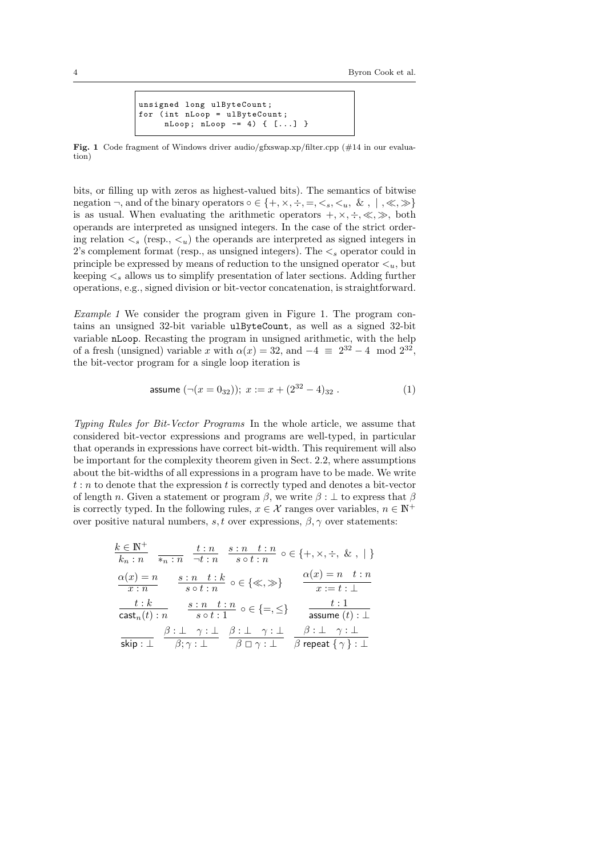```
unsigned long ulByteCount ;
for (int nLoop = ulByteCount;
     nLoop ; nLoop -= 4) { [...] }
```
Fig. 1 Code fragment of Windows driver audio/gfxswap.xp/filter.cpp (#14 in our evaluation)

bits, or filling up with zeros as highest-valued bits). The semantics of bitwise negation  $\neg$ , and of the binary operators  $\circ \in \{+, \times, \div, =, \leq s, \leq u, \& , |, \ll, \gg\}$ is as usual. When evaluating the arithmetic operators  $+, \times, \div, \ll, \gg,$  both operands are interpreted as unsigned integers. In the case of the strict ordering relation  $\lt s$  (resp.,  $\lt u$ ) the operands are interpreted as signed integers in 2's complement format (resp., as unsigned integers). The  $\lt_s$  operator could in principle be expressed by means of reduction to the unsigned operator  $\lt_u$ , but keeping  $\lt_s$  allows us to simplify presentation of later sections. Adding further operations, e.g., signed division or bit-vector concatenation, is straightforward.

Example 1 We consider the program given in Figure 1. The program contains an unsigned 32-bit variable ulByteCount, as well as a signed 32-bit variable nLoop. Recasting the program in unsigned arithmetic, with the help of a fresh (unsigned) variable x with  $\alpha(x) = 32$ , and  $-4 \equiv 2^{32} - 4 \mod 2^{32}$ , the bit-vector program for a single loop iteration is

$$
\text{assume }(\neg(x = 0_{32})); \ x := x + (2^{32} - 4)_{32} \ . \tag{1}
$$

Typing Rules for Bit-Vector Programs In the whole article, we assume that considered bit-vector expressions and programs are well-typed, in particular that operands in expressions have correct bit-width. This requirement will also be important for the complexity theorem given in Sect. 2.2, where assumptions about the bit-widths of all expressions in a program have to be made. We write  $t : n$  to denote that the expression t is correctly typed and denotes a bit-vector of length n. Given a statement or program  $\beta$ , we write  $\beta : \bot$  to express that  $\beta$ is correctly typed. In the following rules,  $x \in \mathcal{X}$  ranges over variables,  $n \in \mathbb{N}^+$ over positive natural numbers, s, t over expressions,  $\beta$ ,  $\gamma$  over statements:

| $k \in \mathbb{N}^+$<br>$k_n:n$     |                                                               | $\frac{t:n}{*_{n}:n} \quad \frac{t:n}{\neg t:n} \quad \frac{s:n \quad t:n}{s \circ t:n} \circ \in \{+, \times, \div, \& , \   \ \}$                         |
|-------------------------------------|---------------------------------------------------------------|-------------------------------------------------------------------------------------------------------------------------------------------------------------|
| $\alpha(x) = n$<br>$\overline{x:n}$ | $\frac{s: n-t: k}{s \circ t: n}$ o $\in \{\ll, \gg\}$         | $\alpha(x) = n \quad t:n$<br>$x:=t:\bot$                                                                                                                    |
| t:k<br>$\mathsf{cast}_n(t) : n$     | $\frac{s: n-t: n}{s \circ t: 1} \circ \in \{=,\leq\}$         | t:1<br>assume $(t): \bot$                                                                                                                                   |
|                                     | $\beta : \bot \ \gamma : \bot \ \beta : \bot \ \gamma : \bot$ | $\beta : \perp \quad \gamma : \perp$<br>skip : $\perp$ $\beta$ ; $\gamma$ : $\perp$ $\beta$ $\Box$ $\gamma$ : $\perp$ $\beta$ repeat $\{\gamma\}$ : $\perp$ |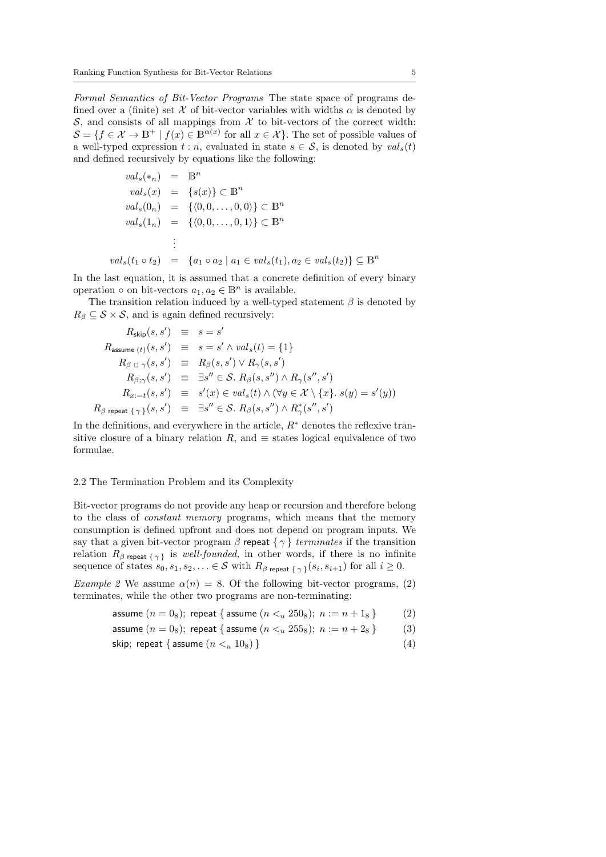Formal Semantics of Bit-Vector Programs The state space of programs defined over a (finite) set X of bit-vector variables with widths  $\alpha$  is denoted by  $\mathcal{S}$ , and consists of all mappings from  $\mathcal{X}$  to bit-vectors of the correct width:  $\mathcal{S} = \{f \in \mathcal{X} \to \mathbb{B}^+\mid f(x) \in \mathbb{B}^{\alpha(x)} \text{ for all } x \in \mathcal{X}\}\.$  The set of possible values of a well-typed expression  $t : n$ , evaluated in state  $s \in S$ , is denoted by  $val_s(t)$ and defined recursively by equations like the following:

$$
val_s(*_n) = \mathbb{B}^n
$$
  
\n
$$
val_s(x) = \{s(x)\} \subset \mathbb{B}^n
$$
  
\n
$$
val_s(0_n) = \{(0, 0, \dots, 0, 0)\} \subset \mathbb{B}^n
$$
  
\n
$$
val_s(1_n) = \{(0, 0, \dots, 0, 1)\} \subset \mathbb{B}^n
$$
  
\n
$$
\vdots
$$
  
\n
$$
val_s(t_1 \circ t_2) = \{a_1 \circ a_2 \mid a_1 \in val_s(t_1), a_2 \in val_s(t_2)\} \subseteq \mathbb{B}^n
$$

In the last equation, it is assumed that a concrete definition of every binary operation  $\circ$  on bit-vectors  $a_1, a_2 \in \mathbb{B}^n$  is available.

The transition relation induced by a well-typed statement  $\beta$  is denoted by  $R_\beta \subseteq \mathcal{S} \times \mathcal{S}$ , and is again defined recursively:

$$
R_{\text{skip}}(s, s') \equiv s = s'
$$
  
\n
$$
R_{\text{assume }(t)}(s, s') \equiv s = s' \land val_s(t) = \{1\}
$$
  
\n
$$
R_{\beta \Box \gamma}(s, s') \equiv R_{\beta}(s, s') \lor R_{\gamma}(s, s')
$$
  
\n
$$
R_{\beta; \gamma}(s, s') \equiv \exists s'' \in S. R_{\beta}(s, s'') \land R_{\gamma}(s'', s')
$$
  
\n
$$
R_{x := t}(s, s') \equiv s'(x) \in val_s(t) \land (\forall y \in \mathcal{X} \setminus \{x\}. s(y) = s'(y))
$$
  
\n
$$
R_{\beta \text{ repeat } \{\gamma\}}(s, s') \equiv \exists s'' \in S. R_{\beta}(s, s'') \land R_{\gamma}^*(s'', s')
$$

In the definitions, and everywhere in the article,  $R^*$  denotes the reflexive transitive closure of a binary relation R, and  $\equiv$  states logical equivalence of two formulae.

#### 2.2 The Termination Problem and its Complexity

Bit-vector programs do not provide any heap or recursion and therefore belong to the class of constant memory programs, which means that the memory consumption is defined upfront and does not depend on program inputs. We say that a given bit-vector program  $\beta$  repeat  $\{\gamma\}$  terminates if the transition relation  $R_{\beta \text{ repeat } \{\gamma\}}$  is well-founded, in other words, if there is no infinite sequence of states  $s_0, s_1, s_2, \ldots \in \mathcal{S}$  with  $R_\beta$  repeat  $\{\gamma\}(s_i, s_{i+1})$  for all  $i \geq 0$ .

Example 2 We assume  $\alpha(n) = 8$ . Of the following bit-vector programs, (2) terminates, while the other two programs are non-terminating:

assume 
$$
(n = 0_8)
$$
; repeat { assume  $(n <_u 250_8)$ ;  $n := n + 1_8$  } (2)

$$
\text{assume } (n=0_8); \text{ repeat } \{ \text{ assume } (n <_u 255_8); \ n := n + 2_8 \} \tag{3}
$$

$$
\textsf{skip; repeat} \{ \textsf{ assume } (n \lt u 10_8) \} \tag{4}
$$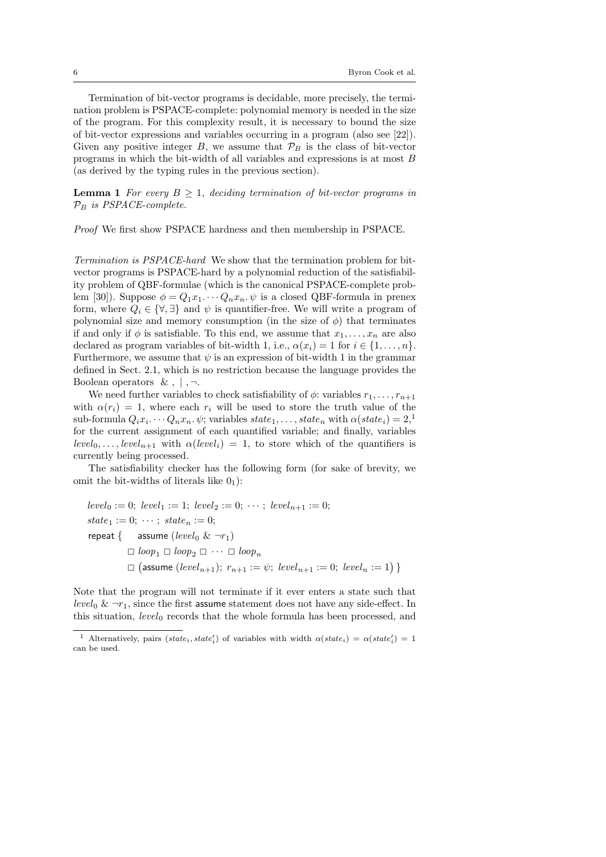Termination of bit-vector programs is decidable, more precisely, the termination problem is PSPACE-complete: polynomial memory is needed in the size of the program. For this complexity result, it is necessary to bound the size of bit-vector expressions and variables occurring in a program (also see [22]). Given any positive integer  $B$ , we assume that  $\mathcal{P}_B$  is the class of bit-vector programs in which the bit-width of all variables and expressions is at most B (as derived by the typing rules in the previous section).

**Lemma 1** For every  $B \geq 1$ , deciding termination of bit-vector programs in  $\mathcal{P}_B$  is PSPACE-complete.

Proof We first show PSPACE hardness and then membership in PSPACE.

Termination is PSPACE-hard We show that the termination problem for bitvector programs is PSPACE-hard by a polynomial reduction of the satisfiability problem of QBF-formulae (which is the canonical PSPACE-complete problem [30]). Suppose  $\phi = Q_1 x_1 \cdots Q_n x_n$ .  $\psi$  is a closed QBF-formula in prenex form, where  $Q_i \in \{ \forall, \exists \}$  and  $\psi$  is quantifier-free. We will write a program of polynomial size and memory consumption (in the size of  $\phi$ ) that terminates if and only if  $\phi$  is satisfiable. To this end, we assume that  $x_1, \ldots, x_n$  are also declared as program variables of bit-width 1, i.e.,  $\alpha(x_i) = 1$  for  $i \in \{1, \ldots, n\}$ . Furthermore, we assume that  $\psi$  is an expression of bit-width 1 in the grammar defined in Sect. 2.1, which is no restriction because the language provides the Boolean operators  $\& , | , \neg .$ 

We need further variables to check satisfiability of  $\phi$ : variables  $r_1, \ldots, r_{n+1}$ with  $\alpha(r_i) = 1$ , where each  $r_i$  will be used to store the truth value of the sub-formula  $Q_i x_i \cdots Q_n x_n$ .  $\psi$ ; variables  $state_1, \ldots, state_n$  with  $\alpha(state_i) = 2,$ <sup>1</sup> for the current assignment of each quantified variable; and finally, variables  $level_0, \ldots, level_{n+1}$  with  $\alpha(level_i) = 1$ , to store which of the quantifiers is currently being processed.

The satisfiability checker has the following form (for sake of brevity, we omit the bit-widths of literals like  $0<sub>1</sub>$ ):

$$
level_0 := 0; level_1 := 1; level_2 := 0; \cdots; level_{n+1} := 0;
$$
\n
$$
state_1 := 0; \cdots; state_n := 0;
$$
\n
$$
repeat \{ \text{assume } (level_0 \& \neg r_1)
$$
\n
$$
\Box loop_1 \Box loop_2 \Box \cdots \Box loop_n
$$
\n
$$
\Box (assume (level_{n+1}); r_{n+1} := \psi; level_{n+1} := 0; level_n := 1) \}
$$

Note that the program will not terminate if it ever enters a state such that level<sub>0</sub> &  $\neg r_1$ , since the first assume statement does not have any side-effect. In this situation,  $level_0$  records that the whole formula has been processed, and

<sup>&</sup>lt;sup>1</sup> Alternatively, pairs  $(state<sub>i</sub>, state'<sub>i</sub>)$  of variables with width  $\alpha(state<sub>i</sub>) = \alpha(state'<sub>i</sub>) = 1$ can be used.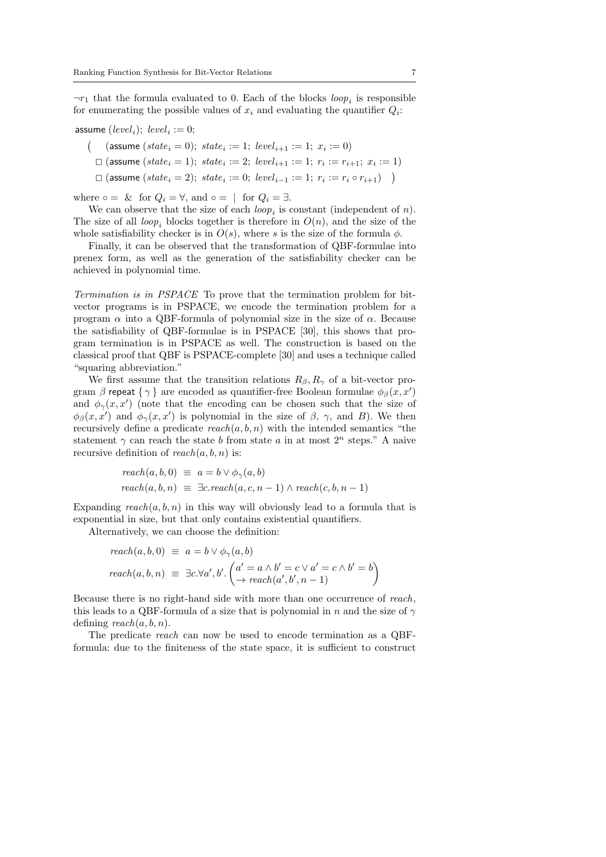$\neg r_1$  that the formula evaluated to 0. Each of the blocks  $loop_i$  is responsible for enumerating the possible values of  $x_i$  and evaluating the quantifier  $Q_i$ :

assume  $(level<sub>i</sub>)$ ;  $level<sub>i</sub> := 0$ ;

- ( (assume  $(state_i = 0); state_i := 1; level_{i+1} := 1; x_i := 0)$
- □ (assume ( $state_i = 1$ );  $state_i := 2$ ;  $level_{i+1} := 1$ ;  $r_i := r_{i+1}$ ;  $x_i := 1$ )
- □ (assume  $(state_i = 2); state_i := 0; level_{i-1} := 1; r_i := r_i \circ r_{i+1})$  )

where  $\circ = \&$  for  $Q_i = \forall$ , and  $\circ = \bot$  for  $Q_i = \exists$ .

We can observe that the size of each  $loop_i$  is constant (independent of n). The size of all loop, blocks together is therefore in  $O(n)$ , and the size of the whole satisfiability checker is in  $O(s)$ , where s is the size of the formula  $\phi$ .

Finally, it can be observed that the transformation of QBF-formulae into prenex form, as well as the generation of the satisfiability checker can be achieved in polynomial time.

Termination is in PSPACE To prove that the termination problem for bitvector programs is in PSPACE, we encode the termination problem for a program  $\alpha$  into a QBF-formula of polynomial size in the size of  $\alpha$ . Because the satisfiability of QBF-formulae is in PSPACE [30], this shows that program termination is in PSPACE as well. The construction is based on the classical proof that QBF is PSPACE-complete [30] and uses a technique called "squaring abbreviation."

We first assume that the transition relations  $R_{\beta}, R_{\gamma}$  of a bit-vector program  $\beta$  repeat  $\{\gamma\}$  are encoded as quantifier-free Boolean formulae  $\phi_{\beta}(x, x')$ and  $\phi_{\gamma}(x, x')$  (note that the encoding can be chosen such that the size of  $\phi_{\beta}(x, x')$  and  $\phi_{\gamma}(x, x')$  is polynomial in the size of  $\beta$ ,  $\gamma$ , and B). We then recursively define a predicate  $reach(a, b, n)$  with the intended semantics "the statement  $\gamma$  can reach the state b from state a in at most  $2^n$  steps." A naive recursive definition of  $reach(a, b, n)$  is:

$$
reach(a, b, 0) \equiv a = b \lor \phi_{\gamma}(a, b)
$$
  

$$
reach(a, b, n) \equiv \exists c. reach(a, c, n - 1) \land reach(c, b, n - 1)
$$

Expanding  $reach(a, b, n)$  in this way will obviously lead to a formula that is exponential in size, but that only contains existential quantifiers.

Alternatively, we can choose the definition:

$$
reach(a, b, 0) \equiv a = b \lor \phi_{\gamma}(a, b)
$$
  

$$
reach(a, b, n) \equiv \exists c. \forall a', b'. \left( \begin{matrix} a' = a \land b' = c \lor a' = c \land b' = b \\ \to reach(a', b', n - 1) \end{matrix} \right)
$$

Because there is no right-hand side with more than one occurrence of reach, this leads to a QBF-formula of a size that is polynomial in n and the size of  $\gamma$ defining  $reach(a, b, n)$ .

The predicate reach can now be used to encode termination as a QBFformula: due to the finiteness of the state space, it is sufficient to construct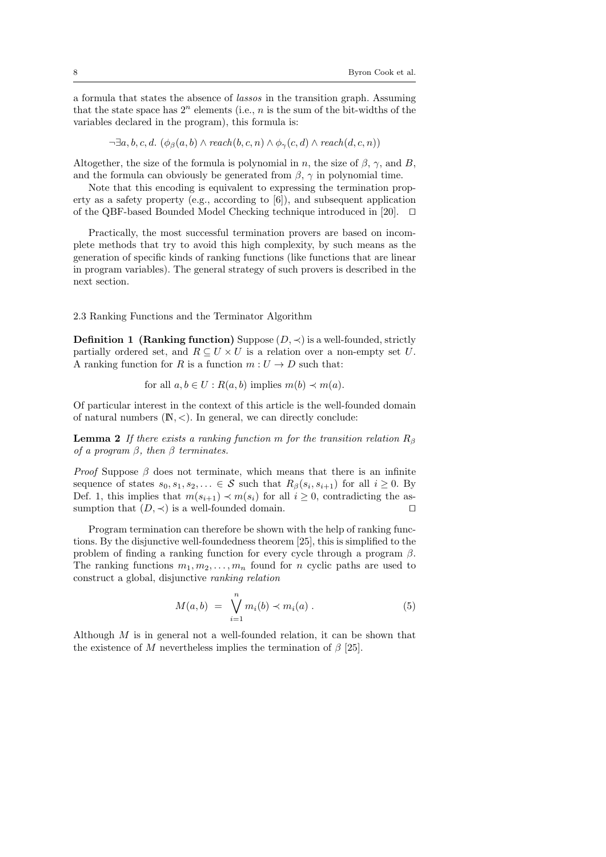a formula that states the absence of lassos in the transition graph. Assuming that the state space has  $2^n$  elements (i.e., n is the sum of the bit-widths of the variables declared in the program), this formula is:

$$
\neg \exists a, b, c, d. \ (\phi_{\beta}(a, b) \land reach(b, c, n) \land \phi_{\gamma}(c, d) \land reach(d, c, n))
$$

Altogether, the size of the formula is polynomial in n, the size of  $\beta$ ,  $\gamma$ , and B, and the formula can obviously be generated from  $\beta$ ,  $\gamma$  in polynomial time.

Note that this encoding is equivalent to expressing the termination property as a safety property (e.g., according to [6]), and subsequent application of the QBF-based Bounded Model Checking technique introduced in [20].  $\Box$ 

Practically, the most successful termination provers are based on incomplete methods that try to avoid this high complexity, by such means as the generation of specific kinds of ranking functions (like functions that are linear in program variables). The general strategy of such provers is described in the next section.

2.3 Ranking Functions and the Terminator Algorithm

**Definition 1 (Ranking function)** Suppose  $(D, \prec)$  is a well-founded, strictly partially ordered set, and  $R \subseteq U \times U$  is a relation over a non-empty set U. A ranking function for  $R$  is a function  $m:U\to D$  such that:

for all  $a, b \in U : R(a, b)$  implies  $m(b) \prec m(a)$ .

Of particular interest in the context of this article is the well-founded domain of natural numbers  $(N, <)$ . In general, we can directly conclude:

**Lemma 2** If there exists a ranking function m for the transition relation  $R_\beta$ of a program  $\beta$ , then  $\beta$  terminates.

*Proof* Suppose  $\beta$  does not terminate, which means that there is an infinite sequence of states  $s_0, s_1, s_2, \ldots \in \mathcal{S}$  such that  $R_\beta(s_i, s_{i+1})$  for all  $i \geq 0$ . By Def. 1, this implies that  $m(s_{i+1}) \prec m(s_i)$  for all  $i > 0$ , contradicting the assumption that  $(D, \prec)$  is a well-founded domain.

Program termination can therefore be shown with the help of ranking functions. By the disjunctive well-foundedness theorem [25], this is simplified to the problem of finding a ranking function for every cycle through a program  $\beta$ . The ranking functions  $m_1, m_2, \ldots, m_n$  found for n cyclic paths are used to construct a global, disjunctive ranking relation

$$
M(a, b) = \bigvee_{i=1}^{n} m_i(b) \prec m_i(a) . \tag{5}
$$

Although M is in general not a well-founded relation, it can be shown that the existence of M nevertheless implies the termination of  $\beta$  [25].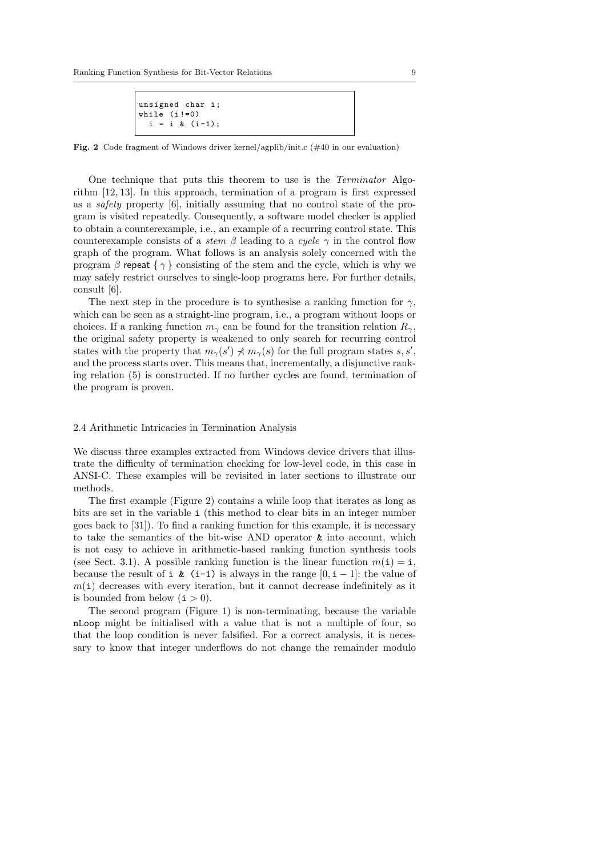```
unsigned char i;
while (i !=0)
 i = i \& (i-1);
```
Fig. 2 Code fragment of Windows driver kernel/agplib/init.c (#40 in our evaluation)

One technique that puts this theorem to use is the Terminator Algorithm [12, 13]. In this approach, termination of a program is first expressed as a safety property [6], initially assuming that no control state of the program is visited repeatedly. Consequently, a software model checker is applied to obtain a counterexample, i.e., an example of a recurring control state. This counterexample consists of a stem  $\beta$  leading to a cycle  $\gamma$  in the control flow graph of the program. What follows is an analysis solely concerned with the program  $\beta$  repeat  $\{\gamma\}$  consisting of the stem and the cycle, which is why we may safely restrict ourselves to single-loop programs here. For further details, consult [6].

The next step in the procedure is to synthesise a ranking function for  $\gamma$ , which can be seen as a straight-line program, i.e., a program without loops or choices. If a ranking function  $m_{\gamma}$  can be found for the transition relation  $R_{\gamma}$ , the original safety property is weakened to only search for recurring control states with the property that  $m_{\gamma}(s') \nless m_{\gamma}(s)$  for the full program states s, s', and the process starts over. This means that, incrementally, a disjunctive ranking relation (5) is constructed. If no further cycles are found, termination of the program is proven.

### 2.4 Arithmetic Intricacies in Termination Analysis

We discuss three examples extracted from Windows device drivers that illustrate the difficulty of termination checking for low-level code, in this case in ANSI-C. These examples will be revisited in later sections to illustrate our methods.

The first example (Figure 2) contains a while loop that iterates as long as bits are set in the variable i (this method to clear bits in an integer number goes back to [31]). To find a ranking function for this example, it is necessary to take the semantics of the bit-wise AND operator & into account, which is not easy to achieve in arithmetic-based ranking function synthesis tools (see Sect. 3.1). A possible ranking function is the linear function  $m(i) = i$ , because the result of i & (i-1) is always in the range  $[0, i - 1]$ : the value of  $m(i)$  decreases with every iteration, but it cannot decrease indefinitely as it is bounded from below  $(i > 0)$ .

The second program (Figure 1) is non-terminating, because the variable nLoop might be initialised with a value that is not a multiple of four, so that the loop condition is never falsified. For a correct analysis, it is necessary to know that integer underflows do not change the remainder modulo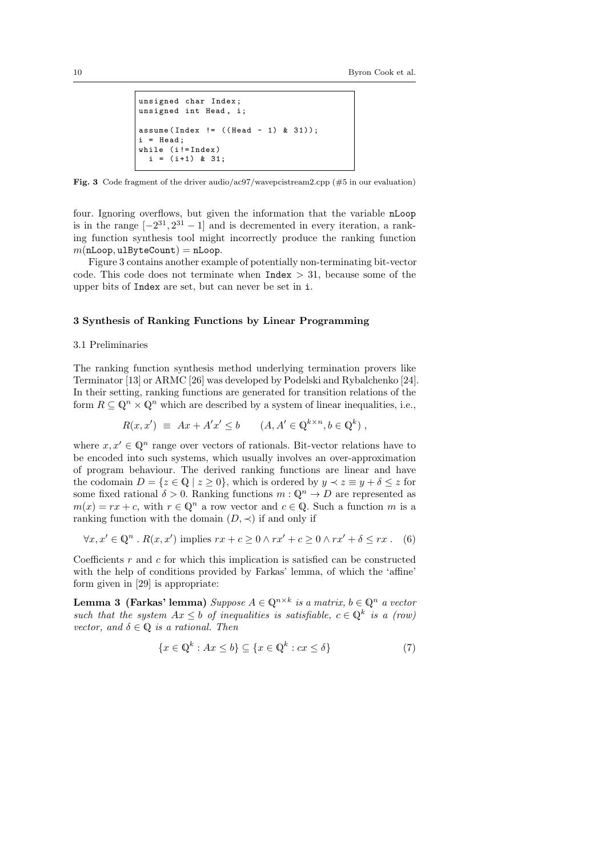```
unsigned char Index ;
unsigned int Head, i;
assume (Index != ((Head - 1) & 31));
 = Head;
while (i!=Index)
  i = (i+1) & 31;
```
Fig. 3 Code fragment of the driver audio/ac97/wavepcistream2.cpp (#5 in our evaluation)

four. Ignoring overflows, but given the information that the variable nLoop is in the range  $[-2^{31}, 2^{31} - 1]$  and is decremented in every iteration, a ranking function synthesis tool might incorrectly produce the ranking function  $m(nLoop, u1ByteCount) = nLoop.$ 

Figure 3 contains another example of potentially non-terminating bit-vector code. This code does not terminate when  $Index > 31$ , because some of the upper bits of Index are set, but can never be set in i.

# 3 Synthesis of Ranking Functions by Linear Programming

#### 3.1 Preliminaries

The ranking function synthesis method underlying termination provers like Terminator [13] or ARMC [26] was developed by Podelski and Rybalchenko [24]. In their setting, ranking functions are generated for transition relations of the form  $R \subseteq \mathbb{Q}^n \times \mathbb{Q}^n$  which are described by a system of linear inequalities, i.e.,

$$
R(x, x') \equiv Ax + A'x' \le b \qquad (A, A' \in \mathbb{Q}^{k \times n}, b \in \mathbb{Q}^k) ,
$$

where  $x, x' \in \mathbb{Q}^n$  range over vectors of rationals. Bit-vector relations have to be encoded into such systems, which usually involves an over-approximation of program behaviour. The derived ranking functions are linear and have the codomain  $D = \{z \in \mathbb{Q} \mid z \geq 0\}$ , which is ordered by  $y \prec z \equiv y + \delta \leq z$  for some fixed rational  $\delta > 0$ . Ranking functions  $m: \mathbb{Q}^n \to D$  are represented as  $m(x) = rx + c$ , with  $r \in \mathbb{Q}^n$  a row vector and  $c \in \mathbb{Q}$ . Such a function m is a ranking function with the domain  $(D, \prec)$  if and only if

$$
\forall x, x' \in \mathbb{Q}^n \ . \ R(x, x') \text{ implies } rx + c \ge 0 \land rx' + c \ge 0 \land rx' + \delta \le rx \ . \tag{6}
$$

Coefficients  $r$  and  $c$  for which this implication is satisfied can be constructed with the help of conditions provided by Farkas' lemma, of which the 'affine' form given in [29] is appropriate:

Lemma 3 (Farkas' lemma) Suppose  $A \in \mathbb{Q}^{n \times k}$  is a matrix,  $b \in \mathbb{Q}^n$  a vector such that the system  $Ax \leq b$  of inequalities is satisfiable,  $c \in \mathbb{Q}^k$  is a (row) vector, and  $\delta \in \mathbb{Q}$  is a rational. Then

$$
\{x \in \mathbb{Q}^k : Ax \le b\} \subseteq \{x \in \mathbb{Q}^k : cx \le \delta\}
$$
 (7)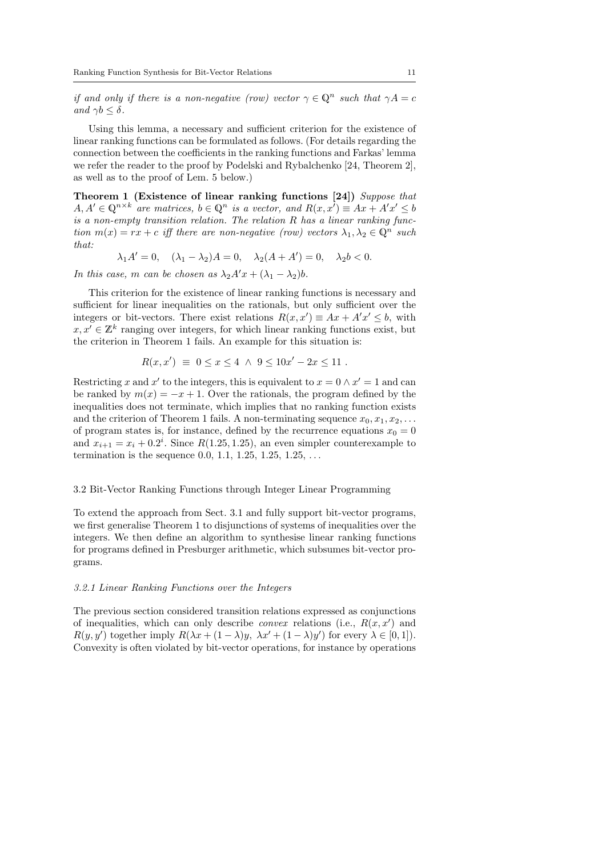if and only if there is a non-negative (row) vector  $\gamma \in \mathbb{Q}^n$  such that  $\gamma A = c$ and  $\gamma b < \delta$ .

Using this lemma, a necessary and sufficient criterion for the existence of linear ranking functions can be formulated as follows. (For details regarding the connection between the coefficients in the ranking functions and Farkas' lemma we refer the reader to the proof by Podelski and Rybalchenko [24, Theorem 2], as well as to the proof of Lem. 5 below.)

Theorem 1 (Existence of linear ranking functions [24]) Suppose that  $A, A' \in \mathbb{Q}^{n \times k}$  are matrices,  $b \in \mathbb{Q}^n$  is a vector, and  $R(x, x') \equiv Ax + A'x' \leq b$ is a non-empty transition relation. The relation R has a linear ranking function  $m(x) = rx + c$  iff there are non-negative (row) vectors  $\lambda_1, \lambda_2 \in \mathbb{Q}^n$  such that:

$$
\lambda_1 A' = 0
$$
,  $(\lambda_1 - \lambda_2)A = 0$ ,  $\lambda_2(A + A') = 0$ ,  $\lambda_2 b < 0$ .

In this case, m can be chosen as  $\lambda_2 A'x + (\lambda_1 - \lambda_2)b$ .

This criterion for the existence of linear ranking functions is necessary and sufficient for linear inequalities on the rationals, but only sufficient over the integers or bit-vectors. There exist relations  $R(x, x') \equiv Ax + A'x' \leq b$ , with  $x, x' \in \mathbb{Z}^k$  ranging over integers, for which linear ranking functions exist, but the criterion in Theorem 1 fails. An example for this situation is:

$$
R(x, x') \equiv 0 \le x \le 4 \land 9 \le 10x' - 2x \le 11.
$$

Restricting x and x' to the integers, this is equivalent to  $x = 0 \wedge x' = 1$  and can be ranked by  $m(x) = -x + 1$ . Over the rationals, the program defined by the inequalities does not terminate, which implies that no ranking function exists and the criterion of Theorem 1 fails. A non-terminating sequence  $x_0, x_1, x_2, \ldots$ of program states is, for instance, defined by the recurrence equations  $x_0 = 0$ and  $x_{i+1} = x_i + 0.2^i$ . Since  $R(1.25, 1.25)$ , an even simpler counterexample to termination is the sequence 0.0, 1.1, 1.25, 1.25, 1.25, . . .

# 3.2 Bit-Vector Ranking Functions through Integer Linear Programming

To extend the approach from Sect. 3.1 and fully support bit-vector programs, we first generalise Theorem 1 to disjunctions of systems of inequalities over the integers. We then define an algorithm to synthesise linear ranking functions for programs defined in Presburger arithmetic, which subsumes bit-vector programs.

#### 3.2.1 Linear Ranking Functions over the Integers

The previous section considered transition relations expressed as conjunctions of inequalities, which can only describe *convex* relations (i.e.,  $R(x, x')$  and  $R(y, y')$  together imply  $R(\lambda x + (1 - \lambda)y, \lambda x' + (1 - \lambda)y')$  for every  $\lambda \in [0, 1]$ . Convexity is often violated by bit-vector operations, for instance by operations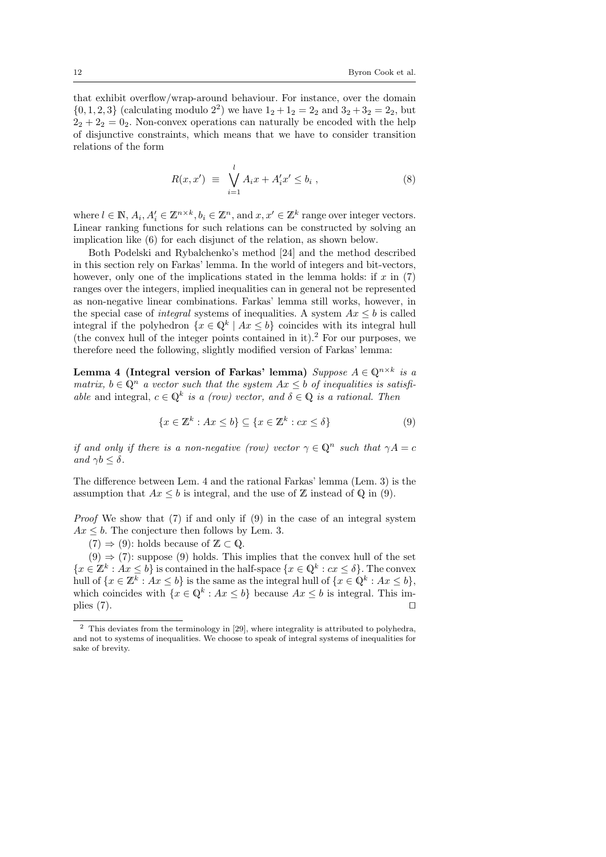that exhibit overflow/wrap-around behaviour. For instance, over the domain  $\{0, 1, 2, 3\}$  (calculating modulo  $2^2$ ) we have  $1_2 + 1_2 = 2_2$  and  $3_2 + 3_2 = 2_2$ , but  $2<sub>2</sub> + 2<sub>2</sub> = 0<sub>2</sub>$ . Non-convex operations can naturally be encoded with the help of disjunctive constraints, which means that we have to consider transition relations of the form

$$
R(x, x') \equiv \bigvee_{i=1}^{l} A_i x + A'_i x' \le b_i , \qquad (8)
$$

where  $l \in \mathbb{N}$ ,  $A_i, A'_i \in \mathbb{Z}^{n \times k}$ ,  $b_i \in \mathbb{Z}^n$ , and  $x, x' \in \mathbb{Z}^k$  range over integer vectors. Linear ranking functions for such relations can be constructed by solving an implication like (6) for each disjunct of the relation, as shown below.

Both Podelski and Rybalchenko's method [24] and the method described in this section rely on Farkas' lemma. In the world of integers and bit-vectors, however, only one of the implications stated in the lemma holds: if  $x$  in (7) ranges over the integers, implied inequalities can in general not be represented as non-negative linear combinations. Farkas' lemma still works, however, in the special case of *integral* systems of inequalities. A system  $Ax \leq b$  is called integral if the polyhedron  $\{x \in \mathbb{Q}^k \mid Ax \leq b\}$  coincides with its integral hull (the convex hull of the integer points contained in it).<sup>2</sup> For our purposes, we therefore need the following, slightly modified version of Farkas' lemma:

Lemma 4 (Integral version of Farkas' lemma)  $Suppose A \in \mathbb{Q}^{n \times k}$  is a matrix,  $b \in \mathbb{Q}^n$  a vector such that the system  $Ax \leq b$  of inequalities is satisfiable and integral,  $c \in \mathbb{Q}^k$  is a (row) vector, and  $\delta \in \mathbb{Q}$  is a rational. Then

$$
\{x \in \mathbb{Z}^k : Ax \le b\} \subseteq \{x \in \mathbb{Z}^k : cx \le \delta\}
$$
\n<sup>(9)</sup>

if and only if there is a non-negative (row) vector  $\gamma \in \mathbb{Q}^n$  such that  $\gamma A = c$ and  $\gamma b \leq \delta$ .

The difference between Lem. 4 and the rational Farkas' lemma (Lem. 3) is the assumption that  $Ax \leq b$  is integral, and the use of  $\mathbb Z$  instead of Q in (9).

Proof We show that (7) if and only if (9) in the case of an integral system  $Ax \leq b$ . The conjecture then follows by Lem. 3.

 $(7) \Rightarrow (9)$ : holds because of  $\mathbb{Z} \subset \mathbb{Q}$ .

 $(9) \Rightarrow (7)$ : suppose (9) holds. This implies that the convex hull of the set  $\{x \in \mathbb{Z}^k : Ax \leq b\}$  is contained in the half-space  $\{x \in \mathbb{Q}^k : cx \leq \delta\}$ . The convex hull of  $\{x \in \mathbb{Z}^k : Ax \leq b\}$  is the same as the integral hull of  $\{x \in \mathbb{Q}^k : Ax \leq b\}$ , which coincides with  $\{x \in \mathbb{Q}^k : Ax \leq b\}$  because  $Ax \leq b$  is integral. This implies  $(7)$ .

<sup>2</sup> This deviates from the terminology in [29], where integrality is attributed to polyhedra, and not to systems of inequalities. We choose to speak of integral systems of inequalities for sake of brevity.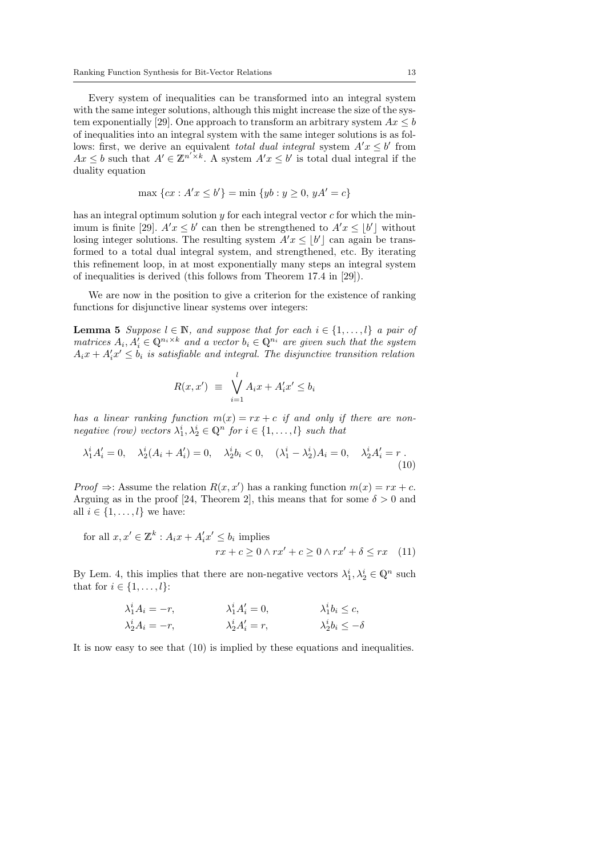Every system of inequalities can be transformed into an integral system with the same integer solutions, although this might increase the size of the system exponentially [29]. One approach to transform an arbitrary system  $Ax \leq b$ of inequalities into an integral system with the same integer solutions is as follows: first, we derive an equivalent *total dual integral* system  $A'x \leq b'$  from  $Ax \leq b$  such that  $A' \in \mathbb{Z}^{n' \times k}$ . A system  $A'x \leq b'$  is total dual integral if the duality equation

$$
\max \{cx : A'x \le b'\} = \min \{yb : y \ge 0, yA' = c\}
$$

has an integral optimum solution  $y$  for each integral vector  $c$  for which the minimum is finite [29].  $A'x \leq b'$  can then be strengthened to  $A'x \leq b'$ ] without losing integer solutions. The resulting system  $A'x \leq \lfloor b' \rfloor$  can again be transformed to a total dual integral system, and strengthened, etc. By iterating this refinement loop, in at most exponentially many steps an integral system of inequalities is derived (this follows from Theorem 17.4 in [29]).

We are now in the position to give a criterion for the existence of ranking functions for disjunctive linear systems over integers:

**Lemma 5** Suppose  $l \in \mathbb{N}$ , and suppose that for each  $i \in \{1, ..., l\}$  a pair of matrices  $A_i, A'_i \in \mathbb{Q}^{n_i \times k}$  and a vector  $b_i \in \mathbb{Q}^{n_i}$  are given such that the system  $A_ix + A'_ix' \leq b_i$  is satisfiable and integral. The disjunctive transition relation

$$
R(x, x') \equiv \bigvee_{i=1}^{l} A_i x + A'_i x' \le b_i
$$

has a linear ranking function  $m(x) = rx + c$  if and only if there are nonnegative (row) vectors  $\lambda_1^i, \lambda_2^i \in \mathbb{Q}^n$  for  $i \in \{1, \ldots, l\}$  such that

$$
\lambda_1^i A_i' = 0, \quad \lambda_2^i (A_i + A_i') = 0, \quad \lambda_2^i b_i < 0, \quad (\lambda_1^i - \lambda_2^i) A_i = 0, \quad \lambda_2^i A_i' = r.
$$
\n(10)

*Proof*  $\Rightarrow$ : Assume the relation  $R(x, x')$  has a ranking function  $m(x) = rx + c$ . Arguing as in the proof [24, Theorem 2], this means that for some  $\delta > 0$  and all  $i \in \{1, \ldots, l\}$  we have:

for all 
$$
x, x' \in \mathbb{Z}^k : A_i x + A'_i x' \le b_i
$$
 implies  
\n
$$
rx + c \ge 0 \land rx' + c \ge 0 \land rx' + \delta \le rx \quad (11)
$$

By Lem. 4, this implies that there are non-negative vectors  $\lambda_1^i, \lambda_2^i \in \mathbb{Q}^n$  such that for  $i \in \{1, \ldots, l\}$ :

$$
\lambda_1^i A_i = -r, \qquad \lambda_1^i A_i' = 0, \qquad \lambda_1^i b_i \le c, \n\lambda_2^i A_i = -r, \qquad \lambda_2^i A_i' = r, \qquad \lambda_2^i b_i \le -\delta
$$

It is now easy to see that (10) is implied by these equations and inequalities.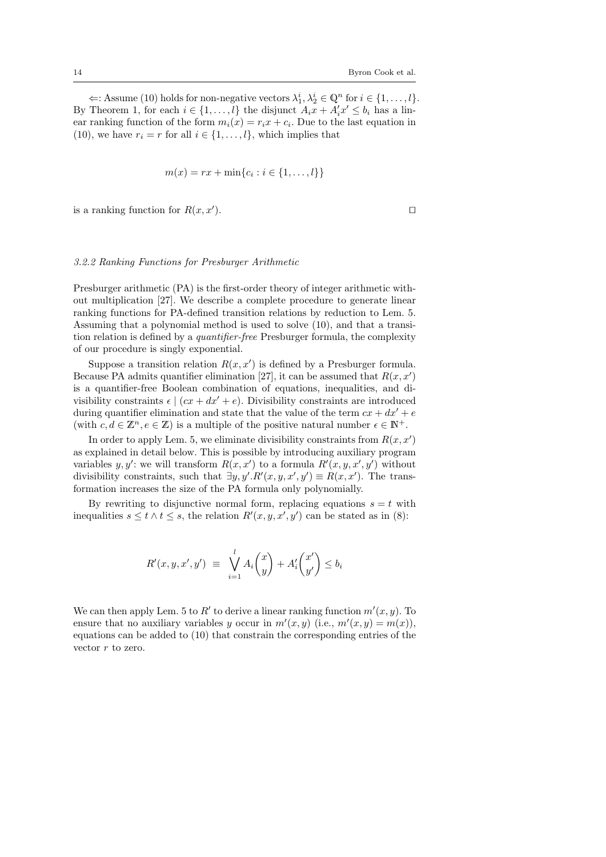$\Leftarrow$ : Assume (10) holds for non-negative vectors  $\lambda_1^i, \lambda_2^i$  ∈  $\mathbb{Q}^n$  for  $i \in \{1, ..., l\}$ . By Theorem 1, for each  $i \in \{1, ..., l\}$  the disjunct  $A_i x + A'_i x' \leq b_i$  has a linear ranking function of the form  $m_i(x) = r_i x + c_i$ . Due to the last equation in (10), we have  $r_i = r$  for all  $i \in \{1, \ldots, l\}$ , which implies that

$$
m(x) = rx + \min\{c_i : i \in \{1, ..., l\}\}\
$$

is a ranking function for  $R(x, x')$ . ).  $\qquad \qquad \Box$ 

# 3.2.2 Ranking Functions for Presburger Arithmetic

Presburger arithmetic (PA) is the first-order theory of integer arithmetic without multiplication [27]. We describe a complete procedure to generate linear ranking functions for PA-defined transition relations by reduction to Lem. 5. Assuming that a polynomial method is used to solve (10), and that a transition relation is defined by a quantifier-free Presburger formula, the complexity of our procedure is singly exponential.

Suppose a transition relation  $R(x, x')$  is defined by a Presburger formula. Because PA admits quantifier elimination [27], it can be assumed that  $R(x, x')$ is a quantifier-free Boolean combination of equations, inequalities, and divisibility constraints  $\epsilon \mid (cx + dx' + e)$ . Divisibility constraints are introduced during quantifier elimination and state that the value of the term  $cx + dx' + e$ (with  $c, d \in \mathbb{Z}^n, e \in \mathbb{Z}$ ) is a multiple of the positive natural number  $\epsilon \in \mathbb{N}^+$ .

In order to apply Lem. 5, we eliminate divisibility constraints from  $R(x, x')$ as explained in detail below. This is possible by introducing auxiliary program variables y, y': we will transform  $R(x, x')$  to a formula  $R'(x, y, x', y')$  without divisibility constraints, such that  $\exists y, y'. R'(x, y, x', y') \equiv R(x, x')$ . The transformation increases the size of the PA formula only polynomially.

By rewriting to disjunctive normal form, replacing equations  $s = t$  with inequalities  $s \le t \wedge t \le s$ , the relation  $R'(x, y, x', y')$  can be stated as in (8):

$$
R'(x, y, x', y') \equiv \bigvee_{i=1}^{l} A_i \binom{x}{y} + A'_i \binom{x'}{y'} \le b_i
$$

We can then apply Lem. 5 to R' to derive a linear ranking function  $m'(x, y)$ . To ensure that no auxiliary variables y occur in  $m'(x, y)$  (i.e.,  $m'(x, y) = m(x)$ ), equations can be added to (10) that constrain the corresponding entries of the vector  $r$  to zero.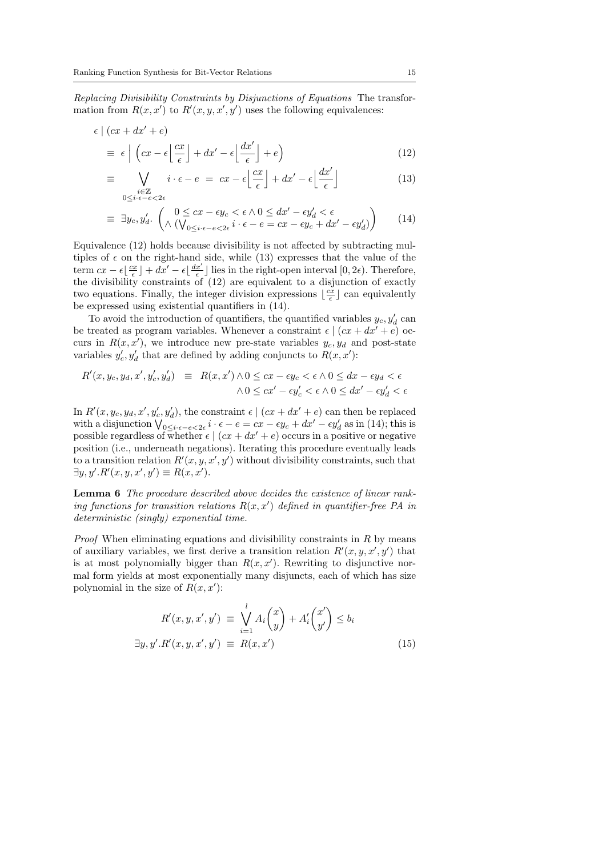Replacing Divisibility Constraints by Disjunctions of Equations The transformation from  $R(x, x')$  to  $R'(x, y, x', y')$  uses the following equivalences:

$$
\epsilon \mid (cx + dx' + e)
$$
  
\n
$$
\equiv \epsilon \mid \left( cx - \epsilon \left\lfloor \frac{cx}{\epsilon} \right\rfloor + dx' - \epsilon \left\lfloor \frac{dx'}{\epsilon} \right\rfloor + e \right)
$$
\n(12)

$$
\equiv \bigvee_{\substack{i \in \mathbb{Z} \\ 0 \le i \cdot \epsilon - e < 2\epsilon}} i \cdot \epsilon - e = cx - \epsilon \left\lfloor \frac{cx}{\epsilon} \right\rfloor + dx' - \epsilon \left\lfloor \frac{dx'}{\epsilon} \right\rfloor \tag{13}
$$

$$
\equiv \exists y_c, y'_d. \begin{pmatrix} 0 \le cx - \epsilon y_c < \epsilon \wedge 0 \le dx' - \epsilon y'_d < \epsilon \\ \wedge (\bigvee_{0 \le i \cdot \epsilon - e < 2\epsilon} i \cdot \epsilon - e = cx - \epsilon y_c + dx' - \epsilon y'_d) \end{pmatrix} \tag{14}
$$

Equivalence (12) holds because divisibility is not affected by subtracting multiples of  $\epsilon$  on the right-hand side, while (13) expresses that the value of the term  $cx - \epsilon \left[\frac{cx}{\epsilon}\right] + dx' - \epsilon \left[\frac{dx'}{\epsilon}\right]$  lies in the right-open interval  $[0, 2\epsilon)$ . Therefore, the divisibility constraints of (12) are equivalent to a disjunction of exactly two equations. Finally, the integer division expressions  $\lfloor \frac{cx}{\epsilon} \rfloor$  can equivalently be expressed using existential quantifiers in (14).

To avoid the introduction of quantifiers, the quantified variables  $y_c, y_d'$  can be treated as program variables. Whenever a constraint  $\epsilon \mid (cx + dx' + e)$  occurs in  $R(x, x')$ , we introduce new pre-state variables  $y_c, y_d$  and post-state variables  $y'_c, y'_d$  that are defined by adding conjuncts to  $R(x, x')$ :

$$
R'(x, y_c, y_d, x', y'_c, y'_d) \equiv R(x, x') \land 0 \le cx - \epsilon y_c < \epsilon \land 0 \le dx - \epsilon y_d < \epsilon
$$
  
 
$$
\land 0 \le cx' - \epsilon y'_c < \epsilon \land 0 \le dx' - \epsilon y'_d < \epsilon
$$

In  $R'(x, y_c, y_d, x', y_c', y_d')$ , the constraint  $\epsilon \mid (cx + dx' + e)$  can then be replaced with a disjunction  $\bigvee_{0 \leq i \cdot \epsilon - e < 2\epsilon} i \cdot \epsilon - e = cx - \epsilon y_c + dx' - \epsilon y_d'$  as in (14); this is possible regardless of whether  $\epsilon \mid (cx + dx' + e)$  occurs in a positive or negative position (i.e., underneath negations). Iterating this procedure eventually leads to a transition relation  $R'(x, y, x', y')$  without divisibility constraints, such that  $\exists y, y'. R'(x, y, x', y') \equiv R(x, x').$ 

Lemma 6 The procedure described above decides the existence of linear ranking functions for transition relations  $R(x, x')$  defined in quantifier-free PA in deterministic (singly) exponential time.

*Proof* When eliminating equations and divisibility constraints in  $R$  by means of auxiliary variables, we first derive a transition relation  $R'(x, y, x', y')$  that is at most polynomially bigger than  $R(x, x')$ . Rewriting to disjunctive normal form yields at most exponentially many disjuncts, each of which has size polynomial in the size of  $R(x, x')$ :

$$
R'(x, y, x', y') \equiv \bigvee_{i=1}^{l} A_i \binom{x}{y} + A'_i \binom{x'}{y'} \le b_i
$$
  

$$
\exists y, y'. R'(x, y, x', y') \equiv R(x, x')
$$
 (15)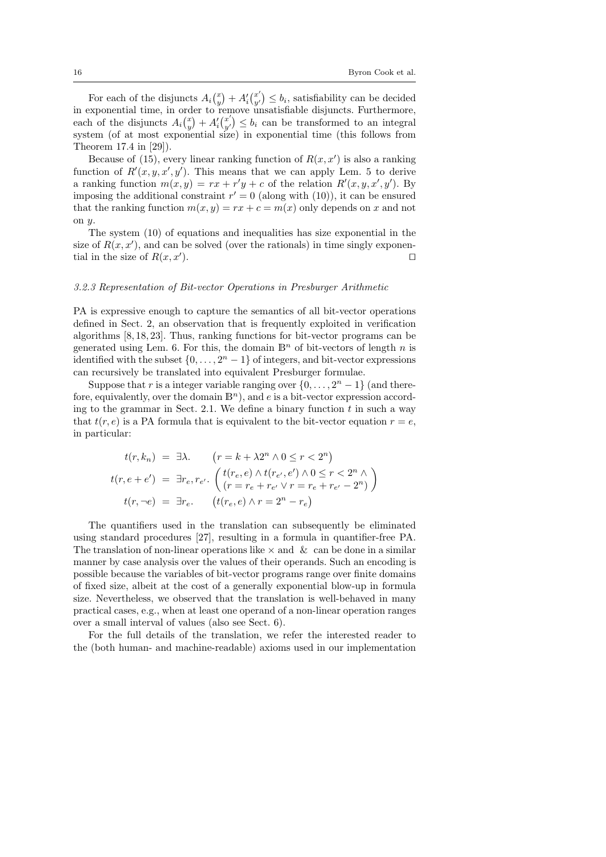For each of the disjuncts  $A_i\begin{pmatrix} x \\ y \end{pmatrix} + A'_i\begin{pmatrix} x' \\ y' \end{pmatrix}$  $y'_{y'}$   $\leq b_i$ , satisfiability can be decided in exponential time, in order to remove unsatisfiable disjuncts. Furthermore, each of the disjuncts  $A_i\begin{pmatrix} x \\ y \end{pmatrix} + A'_i\begin{pmatrix} x' \\ y' \end{pmatrix}$  $\begin{pmatrix} x' \\ y' \end{pmatrix} \leq b_i$  can be transformed to an integral system (of at most exponential size) in exponential time (this follows from Theorem 17.4 in [29]).

Because of (15), every linear ranking function of  $R(x, x')$  is also a ranking function of  $R'(x, y, x', y')$ . This means that we can apply Lem. 5 to derive a ranking function  $m(x, y) = rx + r'y + c$  of the relation  $R'(x, y, x', y')$ . By imposing the additional constraint  $r' = 0$  (along with (10)), it can be ensured that the ranking function  $m(x, y) = rx + c = m(x)$  only depends on x and not on  $u$ 

The system (10) of equations and inequalities has size exponential in the size of  $R(x, x')$ , and can be solved (over the rationals) in time singly exponential in the size of  $R(x, x')$ . ).  $\Box$ 

# 3.2.3 Representation of Bit-vector Operations in Presburger Arithmetic

PA is expressive enough to capture the semantics of all bit-vector operations defined in Sect. 2, an observation that is frequently exploited in verification algorithms [8, 18, 23]. Thus, ranking functions for bit-vector programs can be generated using Lem. 6. For this, the domain  $\mathbb{B}^n$  of bit-vectors of length n is identified with the subset  $\{0, \ldots, 2<sup>n</sup> - 1\}$  of integers, and bit-vector expressions can recursively be translated into equivalent Presburger formulae.

Suppose that r is a integer variable ranging over  $\{0, \ldots, 2<sup>n</sup> - 1\}$  (and therefore, equivalently, over the domain  $\mathbb{B}^n$ ), and e is a bit-vector expression according to the grammar in Sect. 2.1. We define a binary function  $t$  in such a way that  $t(r, e)$  is a PA formula that is equivalent to the bit-vector equation  $r = e$ , in particular:

$$
t(r, k_n) = \exists \lambda. \qquad (r = k + \lambda 2^n \wedge 0 \le r < 2^n)
$$
\n
$$
t(r, e + e') = \exists r_e, r_{e'}. \qquad \begin{pmatrix} t(r_e, e) \wedge t(r_{e'}, e') \wedge 0 \le r < 2^n \wedge \\ (r = r_e + r_{e'} \vee r = r_e + r_{e'} - 2^n) \end{pmatrix}
$$
\n
$$
t(r, \neg e) = \exists r_e. \qquad (t(r_e, e) \wedge r = 2^n - r_e)
$$

The quantifiers used in the translation can subsequently be eliminated using standard procedures [27], resulting in a formula in quantifier-free PA. The translation of non-linear operations like  $\times$  and  $\&$  can be done in a similar manner by case analysis over the values of their operands. Such an encoding is possible because the variables of bit-vector programs range over finite domains of fixed size, albeit at the cost of a generally exponential blow-up in formula size. Nevertheless, we observed that the translation is well-behaved in many practical cases, e.g., when at least one operand of a non-linear operation ranges over a small interval of values (also see Sect. 6).

For the full details of the translation, we refer the interested reader to the (both human- and machine-readable) axioms used in our implementation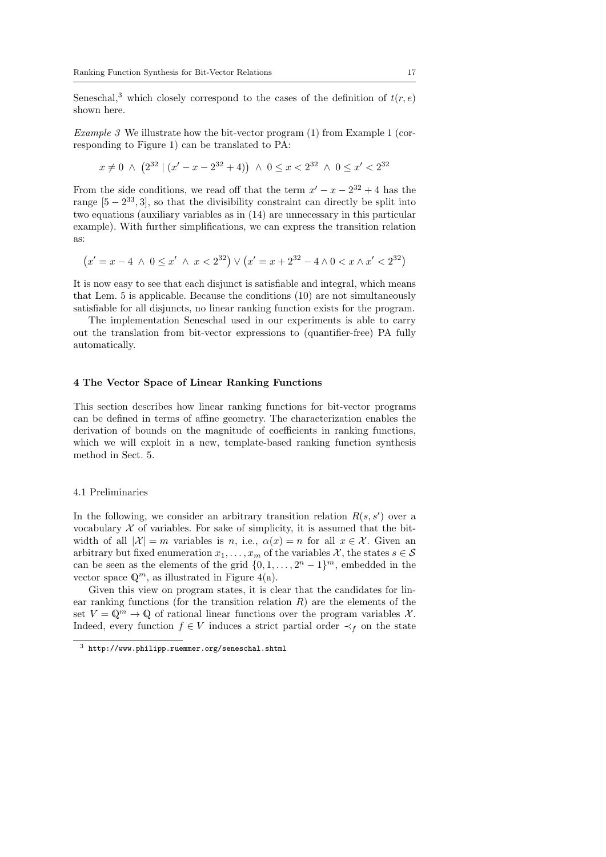Seneschal,<sup>3</sup> which closely correspond to the cases of the definition of  $t(r, e)$ shown here.

Example 3 We illustrate how the bit-vector program (1) from Example 1 (corresponding to Figure 1) can be translated to PA:

$$
x \neq 0 \ \wedge \ \left(2^{32} \mid (x'-x-2^{32}+4) \right) \ \wedge \ 0 \leq x < 2^{32} \ \wedge \ 0 \leq x' < 2^{32}
$$

From the side conditions, we read off that the term  $x' - x - 2^{32} + 4$  has the range  $[5-2^{33},3]$ , so that the divisibility constraint can directly be split into two equations (auxiliary variables as in (14) are unnecessary in this particular example). With further simplifications, we can express the transition relation as:

$$
(x' = x - 4 \land 0 \le x' \land x < 2^{32}) \lor (x' = x + 2^{32} - 4 \land 0 < x \land x' < 2^{32})
$$

It is now easy to see that each disjunct is satisfiable and integral, which means that Lem. 5 is applicable. Because the conditions (10) are not simultaneously satisfiable for all disjuncts, no linear ranking function exists for the program.

The implementation Seneschal used in our experiments is able to carry out the translation from bit-vector expressions to (quantifier-free) PA fully automatically.

# 4 The Vector Space of Linear Ranking Functions

This section describes how linear ranking functions for bit-vector programs can be defined in terms of affine geometry. The characterization enables the derivation of bounds on the magnitude of coefficients in ranking functions, which we will exploit in a new, template-based ranking function synthesis method in Sect. 5.

#### 4.1 Preliminaries

In the following, we consider an arbitrary transition relation  $R(s, s')$  over a vocabulary  $X$  of variables. For sake of simplicity, it is assumed that the bitwidth of all  $|\mathcal{X}| = m$  variables is n, i.e.,  $\alpha(x) = n$  for all  $x \in \mathcal{X}$ . Given an arbitrary but fixed enumeration  $x_1, \ldots, x_m$  of the variables X, the states  $s \in \mathcal{S}$ can be seen as the elements of the grid  $\{0, 1, \ldots, 2<sup>n</sup> - 1\}$ <sup>m</sup>, embedded in the vector space  $\mathbb{Q}^m$ , as illustrated in Figure 4(a).

Given this view on program states, it is clear that the candidates for linear ranking functions (for the transition relation  $R$ ) are the elements of the set  $V = \mathbb{Q}^m \to \mathbb{Q}$  of rational linear functions over the program variables X. Indeed, every function  $f \in V$  induces a strict partial order  $\prec_f$  on the state

 $^3$ http://www.philipp.ruemmer.org/seneschal.shtml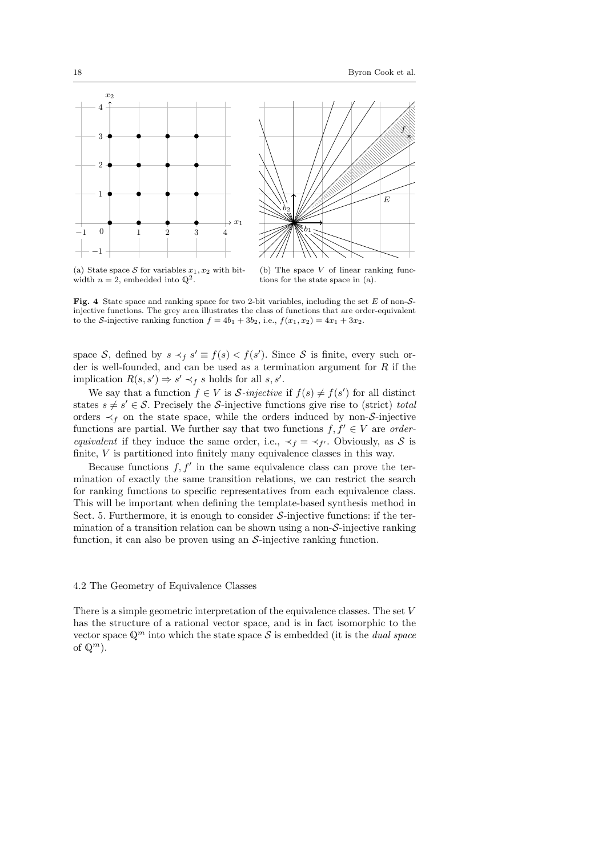



(a) State space S for variables  $x_1, x_2$  with bitwidth  $n=2$ , embedded into  $\mathbb{Q}^2$ .

(b) The space  $V$  of linear ranking functions for the state space in (a).

Fig. 4 State space and ranking space for two 2-bit variables, including the set  $E$  of non-Sinjective functions. The grey area illustrates the class of functions that are order-equivalent to the S-injective ranking function  $f = 4b_1 + 3b_2$ , i.e.,  $f(x_1, x_2) = 4x_1 + 3x_2$ .

space S, defined by  $s \prec_f s' \equiv f(s) < f(s')$ . Since S is finite, every such order is well-founded, and can be used as a termination argument for  $R$  if the implication  $R(s, s') \Rightarrow s' \prec_f s$  holds for all s, s'.

We say that a function  $f \in V$  is S-injective if  $f(s) \neq f(s')$  for all distinct states  $s \neq s' \in \mathcal{S}$ . Precisely the S-injective functions give rise to (strict) total orders  $\prec_f$  on the state space, while the orders induced by non-S-injective functions are partial. We further say that two functions  $f, f' \in V$  are *orderequivalent* if they induce the same order, i.e.,  $\prec_f = \prec_{f'}$ . Obviously, as S is finite, V is partitioned into finitely many equivalence classes in this way.

Because functions  $f, f'$  in the same equivalence class can prove the termination of exactly the same transition relations, we can restrict the search for ranking functions to specific representatives from each equivalence class. This will be important when defining the template-based synthesis method in Sect. 5. Furthermore, it is enough to consider  $S$ -injective functions: if the termination of a transition relation can be shown using a non- $S$ -injective ranking function, it can also be proven using an  $S$ -injective ranking function.

# 4.2 The Geometry of Equivalence Classes

There is a simple geometric interpretation of the equivalence classes. The set V has the structure of a rational vector space, and is in fact isomorphic to the vector space  $\mathbb{Q}^m$  into which the state space S is embedded (it is the *dual space* of  $\mathbb{Q}^m$ ).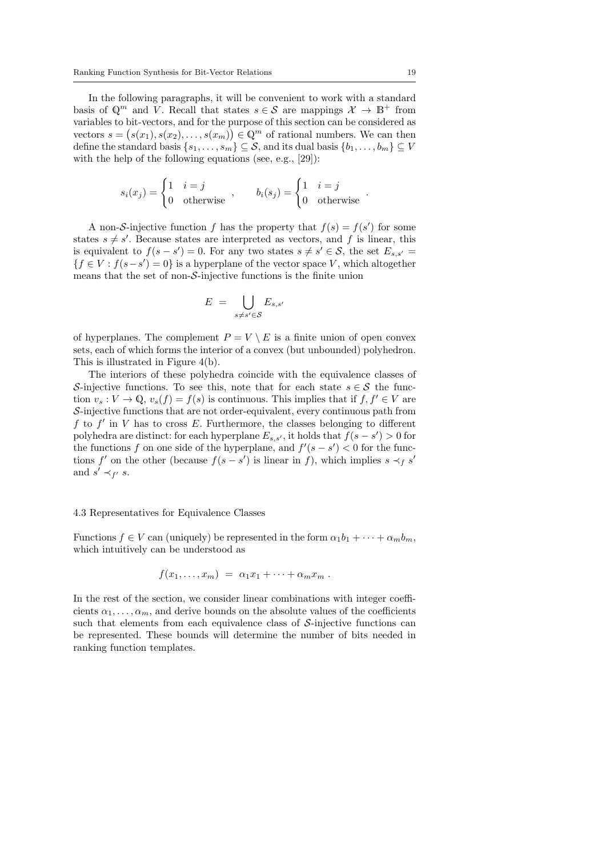In the following paragraphs, it will be convenient to work with a standard basis of  $\mathbb{Q}^m$  and V. Recall that states  $s \in \mathcal{S}$  are mappings  $\mathcal{X} \to \mathbb{B}^+$  from variables to bit-vectors, and for the purpose of this section can be considered as vectors  $s = (s(x_1), s(x_2), \ldots, s(x_m)) \in \mathbb{Q}^m$  of rational numbers. We can then define the standard basis  $\{s_1, \ldots, s_m\} \subseteq \mathcal{S}$ , and its dual basis  $\{b_1, \ldots, b_m\} \subseteq V$ with the help of the following equations (see, e.g., [29]):

$$
s_i(x_j) = \begin{cases} 1 & i = j \\ 0 & \text{otherwise} \end{cases}, \qquad b_i(s_j) = \begin{cases} 1 & i = j \\ 0 & \text{otherwise} \end{cases}
$$

A non-S-injective function f has the property that  $f(s) = f(s')$  for some states  $s \neq s'$ . Because states are interpreted as vectors, and f is linear, this is equivalent to  $f(s - s') = 0$ . For any two states  $s \neq s' \in S$ , the set  $E_{s,s'} =$  ${f \in V : f(s - s') = 0}$  is a hyperplane of the vector space V, which altogether means that the set of non-S-injective functions is the finite union

$$
E = \bigcup_{s \neq s' \in \mathcal{S}} E_{s,s'}
$$

of hyperplanes. The complement  $P = V \setminus E$  is a finite union of open convex sets, each of which forms the interior of a convex (but unbounded) polyhedron. This is illustrated in Figure 4(b).

The interiors of these polyhedra coincide with the equivalence classes of S-injective functions. To see this, note that for each state  $s \in \mathcal{S}$  the function  $v_s : V \to \mathbb{Q}, v_s(f) = f(s)$  is continuous. This implies that if  $f, f' \in V$  are S-injective functions that are not order-equivalent, every continuous path from  $f$  to  $f'$  in  $V$  has to cross  $E$ . Furthermore, the classes belonging to different polyhedra are distinct: for each hyperplane  $E_{s,s'}$ , it holds that  $f(s-s') > 0$  for the functions f on one side of the hyperplane, and  $f'(s - s') < 0$  for the functions f' on the other (because  $f(s - s')$  is linear in f), which implies  $s \prec_f s'$ and  $s' \prec_{f'} s$ .

#### 4.3 Representatives for Equivalence Classes

Functions  $f \in V$  can (uniquely) be represented in the form  $\alpha_1 b_1 + \cdots + \alpha_m b_m$ , which intuitively can be understood as

$$
f(x_1,\ldots,x_m) = \alpha_1 x_1 + \cdots + \alpha_m x_m.
$$

In the rest of the section, we consider linear combinations with integer coefficients  $\alpha_1, \ldots, \alpha_m$ , and derive bounds on the absolute values of the coefficients such that elements from each equivalence class of  $\mathcal{S}\text{-injective}$  functions can be represented. These bounds will determine the number of bits needed in ranking function templates.

.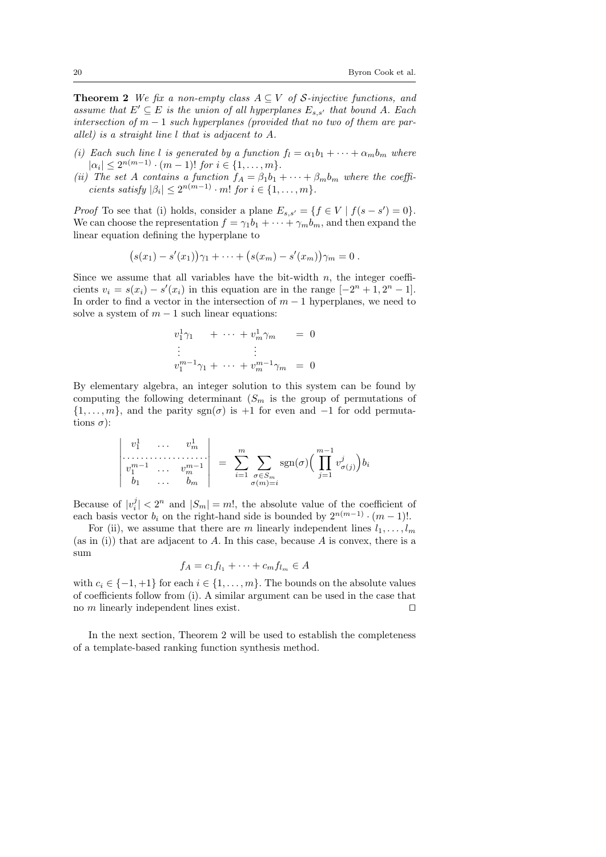**Theorem 2** We fix a non-empty class  $A \subseteq V$  of S-injective functions, and assume that  $E' \subseteq E$  is the union of all hyperplanes  $E_{s,s'}$  that bound A. Each intersection of  $m-1$  such hyperplanes (provided that no two of them are parallel) is a straight line l that is adjacent to A.

- (i) Each such line l is generated by a function  $f_l = \alpha_1 b_1 + \cdots + \alpha_m b_m$  where  $|\alpha_i| \leq 2^{n(m-1)} \cdot (m-1)!$  for  $i \in \{1, \ldots, m\}.$
- (ii) The set A contains a function  $f_A = \beta_1 b_1 + \cdots + \beta_m b_m$  where the coefficients satisfy  $|\beta_i| \leq 2^{n(m-1)} \cdot m!$  for  $i \in \{1, \ldots, m\}.$

*Proof* To see that (i) holds, consider a plane  $E_{s,s'} = \{f \in V \mid f(s - s') = 0\}.$ We can choose the representation  $f = \gamma_1 b_1 + \cdots + \gamma_m b_m$ , and then expand the linear equation defining the hyperplane to

$$
(s(x_1) - s'(x_1))\gamma_1 + \cdots + (s(x_m) - s'(x_m))\gamma_m = 0.
$$

Since we assume that all variables have the bit-width  $n$ , the integer coefficients  $v_i = s(x_i) - s'(x_i)$  in this equation are in the range  $[-2<sup>n</sup> + 1, 2<sup>n</sup> - 1]$ . In order to find a vector in the intersection of  $m-1$  hyperplanes, we need to solve a system of  $m - 1$  such linear equations:

$$
v_1^1 \gamma_1 + \cdots + v_m^1 \gamma_m = 0
$$
  
\n
$$
\vdots
$$
  
\n
$$
v_1^{m-1} \gamma_1 + \cdots + v_m^{m-1} \gamma_m = 0
$$

By elementary algebra, an integer solution to this system can be found by computing the following determinant  $(S_m$  is the group of permutations of  $\{1, \ldots, m\}$ , and the parity sgn( $\sigma$ ) is +1 for even and −1 for odd permutations  $\sigma$ ):

$$
\begin{vmatrix} v_1^1 & \dots & v_m^1 \\ \vdots & \vdots & \vdots \\ v_1^{m-1} & \dots & v_m^{m-1} \\ b_1 & \dots & b_m \end{vmatrix} = \sum_{i=1}^m \sum_{\substack{\sigma \in S_m \\ \sigma(m)=i}} \text{sgn}(\sigma) \Big( \prod_{j=1}^{m-1} v_{\sigma(j)}^j \Big) b_i
$$

Because of  $|v_i^j| < 2^n$  and  $|S_m| = m!$ , the absolute value of the coefficient of each basis vector  $b_i$  on the right-hand side is bounded by  $2^{n(m-1)} \cdot (m-1)!$ .

For (ii), we assume that there are m linearly independent lines  $l_1, \ldots, l_m$ (as in (i)) that are adjacent to  $A$ . In this case, because  $A$  is convex, there is a sum

$$
f_A = c_1 f_{l_1} + \dots + c_m f_{l_m} \in A
$$

with  $c_i \in \{-1, +1\}$  for each  $i \in \{1, \ldots, m\}$ . The bounds on the absolute values of coefficients follow from (i). A similar argument can be used in the case that no m linearly independent lines exist.  $\square$ 

In the next section, Theorem 2 will be used to establish the completeness of a template-based ranking function synthesis method.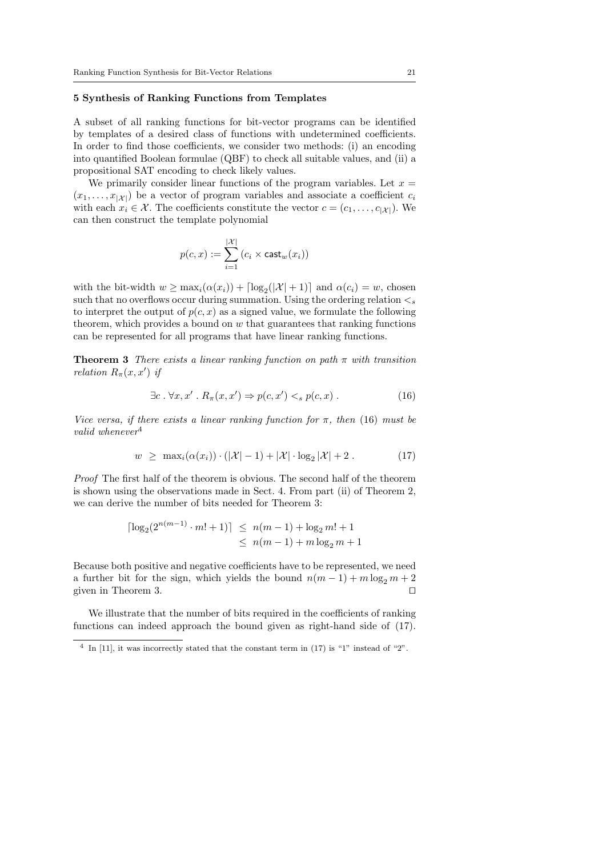#### 5 Synthesis of Ranking Functions from Templates

A subset of all ranking functions for bit-vector programs can be identified by templates of a desired class of functions with undetermined coefficients. In order to find those coefficients, we consider two methods: (i) an encoding into quantified Boolean formulae (QBF) to check all suitable values, and (ii) a propositional SAT encoding to check likely values.

We primarily consider linear functions of the program variables. Let  $x =$  $(x_1, \ldots, x_{|\mathcal{X}|})$  be a vector of program variables and associate a coefficient  $c_i$ with each  $x_i \in \mathcal{X}$ . The coefficients constitute the vector  $c = (c_1, \ldots, c_{|\mathcal{X}|})$ . We can then construct the template polynomial

$$
p(c,x) := \sum_{i=1}^{|\mathcal{X}|} (c_i \times \textsf{cast}_w(x_i))
$$

with the bit-width  $w \ge \max_i(\alpha(x_i)) + \lfloor \log_2(|\mathcal{X}| + 1) \rfloor$  and  $\alpha(c_i) = w$ , chosen such that no overflows occur during summation. Using the ordering relation  $\lt_s$ to interpret the output of  $p(c, x)$  as a signed value, we formulate the following theorem, which provides a bound on  $w$  that guarantees that ranking functions can be represented for all programs that have linear ranking functions.

**Theorem 3** There exists a linear ranking function on path  $\pi$  with transition relation  $R_{\pi}(x, x')$  if

$$
\exists c. \forall x, x' . R_{\pi}(x, x') \Rightarrow p(c, x') <_s p(c, x).
$$
 (16)

Vice versa, if there exists a linear ranking function for  $\pi$ , then (16) must be valid whenever<sup>4</sup>

$$
w \geq \max_{i} (\alpha(x_i)) \cdot (|\mathcal{X}| - 1) + |\mathcal{X}| \cdot \log_2 |\mathcal{X}| + 2. \tag{17}
$$

Proof The first half of the theorem is obvious. The second half of the theorem is shown using the observations made in Sect. 4. From part (ii) of Theorem 2, we can derive the number of bits needed for Theorem 3:

$$
\lceil \log_2(2^{n(m-1)} \cdot m! + 1) \rceil \le n(m-1) + \log_2 m! + 1
$$
  
  $\le n(m-1) + m \log_2 m + 1$ 

Because both positive and negative coefficients have to be represented, we need a further bit for the sign, which yields the bound  $n(m-1) + m \log_2 m + 2$ given in Theorem 3.  $\Box$ 

We illustrate that the number of bits required in the coefficients of ranking functions can indeed approach the bound given as right-hand side of (17).

 $4$  In [11], it was incorrectly stated that the constant term in (17) is "1" instead of "2".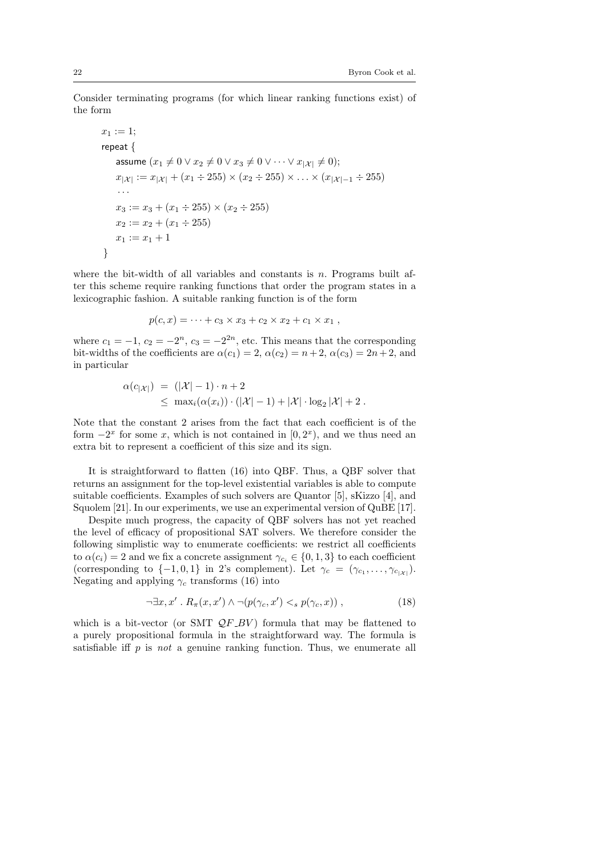Consider terminating programs (for which linear ranking functions exist) of the form

$$
x_1 := 1;
$$
  
repeat {  
assume  $(x_1 \neq 0 \lor x_2 \neq 0 \lor x_3 \neq 0 \lor \dots \lor x_{|\mathcal{X}|} \neq 0);$   

$$
x_{|\mathcal{X}|} := x_{|\mathcal{X}|} + (x_1 \div 255) \times (x_2 \div 255) \times \dots \times (x_{|\mathcal{X}|-1} \div 255)
$$
  
...  

$$
x_3 := x_3 + (x_1 \div 255) \times (x_2 \div 255)
$$
  

$$
x_2 := x_2 + (x_1 \div 255)
$$
  

$$
x_1 := x_1 + 1
$$
}

where the bit-width of all variables and constants is  $n$ . Programs built after this scheme require ranking functions that order the program states in a lexicographic fashion. A suitable ranking function is of the form

$$
p(c, x) = \cdots + c_3 \times x_3 + c_2 \times x_2 + c_1 \times x_1,
$$

where  $c_1 = -1$ ,  $c_2 = -2^n$ ,  $c_3 = -2^{2n}$ , etc. This means that the corresponding bit-widths of the coefficients are  $\alpha(c_1) = 2, \alpha(c_2) = n+2, \alpha(c_3) = 2n+2$ , and in particular

$$
\alpha(c_{|\mathcal{X}|}) = (|\mathcal{X}| - 1) \cdot n + 2
$$
  
\$\leq\$  $\max_i(\alpha(x_i)) \cdot (|\mathcal{X}| - 1) + |\mathcal{X}| \cdot \log_2 |\mathcal{X}| + 2$ .

Note that the constant 2 arises from the fact that each coefficient is of the form  $-2^x$  for some x, which is not contained in  $[0, 2^x)$ , and we thus need an extra bit to represent a coefficient of this size and its sign.

It is straightforward to flatten (16) into QBF. Thus, a QBF solver that returns an assignment for the top-level existential variables is able to compute suitable coefficients. Examples of such solvers are Quantor [5], sKizzo [4], and Squolem [21]. In our experiments, we use an experimental version of QuBE [17].

Despite much progress, the capacity of QBF solvers has not yet reached the level of efficacy of propositional SAT solvers. We therefore consider the following simplistic way to enumerate coefficients: we restrict all coefficients to  $\alpha(c_i) = 2$  and we fix a concrete assignment  $\gamma_{c_i} \in \{0, 1, 3\}$  to each coefficient (corresponding to  $\{-1,0,1\}$  in 2's complement). Let  $\gamma_c = (\gamma_{c_1}, \ldots, \gamma_{c_{|\mathcal{X}|}})$ . Negating and applying  $\gamma_c$  transforms (16) into

$$
\neg \exists x, x' \, . \, R_\pi(x, x') \land \neg (p(\gamma_c, x') <_s p(\gamma_c, x)) \,, \tag{18}
$$

which is a bit-vector (or SMT  $QF_BV$ ) formula that may be flattened to a purely propositional formula in the straightforward way. The formula is satisfiable iff  $p$  is not a genuine ranking function. Thus, we enumerate all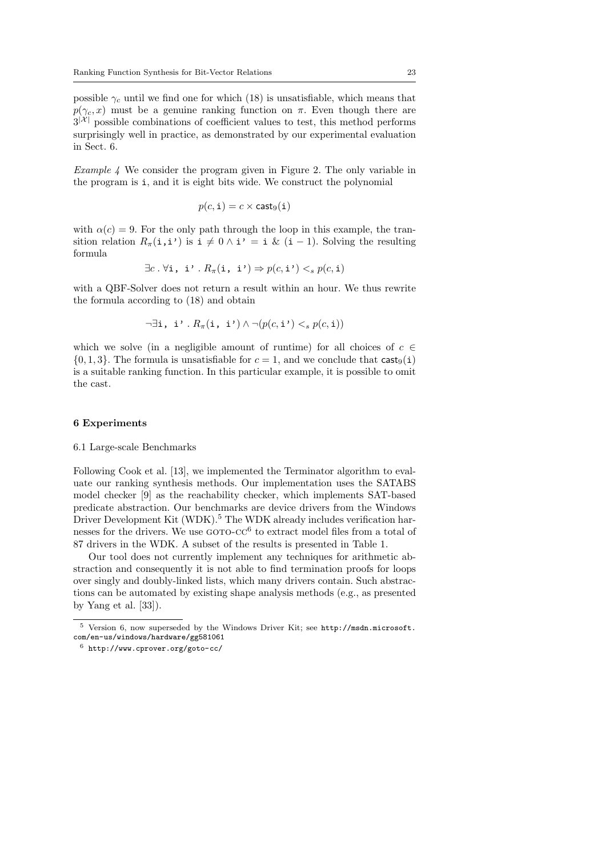possible  $\gamma_c$  until we find one for which (18) is unsatisfiable, which means that  $p(\gamma_c, x)$  must be a genuine ranking function on  $\pi$ . Even though there are  $3^{|\mathcal{X}|}$  possible combinations of coefficient values to test, this method performs surprisingly well in practice, as demonstrated by our experimental evaluation in Sect. 6.

*Example 4* We consider the program given in Figure 2. The only variable in the program is i, and it is eight bits wide. We construct the polynomial

$$
p(c, \mathtt{i}) = c \times \mathsf{cast}_9(\mathtt{i})
$$

with  $\alpha(c) = 9$ . For the only path through the loop in this example, the transition relation  $R_{\pi}(\mathbf{i},\mathbf{i'})$  is  $\mathbf{i} \neq 0 \wedge \mathbf{i'} = \mathbf{i} \& (\mathbf{i} - 1)$ . Solving the resulting formula

$$
\exists c. \forall \mathbf{i}, \mathbf{i'}. R_{\pi}(\mathbf{i}, \mathbf{i'}) \Rightarrow p(c, \mathbf{i'}) <_s p(c, \mathbf{i})
$$

with a QBF-Solver does not return a result within an hour. We thus rewrite the formula according to (18) and obtain

$$
\neg \exists \mathtt{i}, \mathtt{i'} \mathbin{.} R_\pi(\mathtt{i}, \mathtt{i'}) \land \neg (p(c, \mathtt{i'}) <_s p(c, \mathtt{i}))
$$

which we solve (in a negligible amount of runtime) for all choices of  $c \in \mathbb{R}$  $\{0, 1, 3\}$ . The formula is unsatisfiable for  $c = 1$ , and we conclude that  $\text{cast}_9(i)$ is a suitable ranking function. In this particular example, it is possible to omit the cast.

#### 6 Experiments

#### 6.1 Large-scale Benchmarks

Following Cook et al. [13], we implemented the Terminator algorithm to evaluate our ranking synthesis methods. Our implementation uses the SATABS model checker [9] as the reachability checker, which implements SAT-based predicate abstraction. Our benchmarks are device drivers from the Windows Driver Development Kit (WDK).<sup>5</sup> The WDK already includes verification harnesses for the drivers. We use  $GOTO-CC^6$  to extract model files from a total of 87 drivers in the WDK. A subset of the results is presented in Table 1.

Our tool does not currently implement any techniques for arithmetic abstraction and consequently it is not able to find termination proofs for loops over singly and doubly-linked lists, which many drivers contain. Such abstractions can be automated by existing shape analysis methods (e.g., as presented by Yang et al. [33]).

 $^5$  Version 6, now superseded by the Windows Driver Kit; see  ${\tt http://msdn.microsoft.}$ com/en-us/windows/hardware/gg581061

<sup>6</sup> http://www.cprover.org/goto-cc/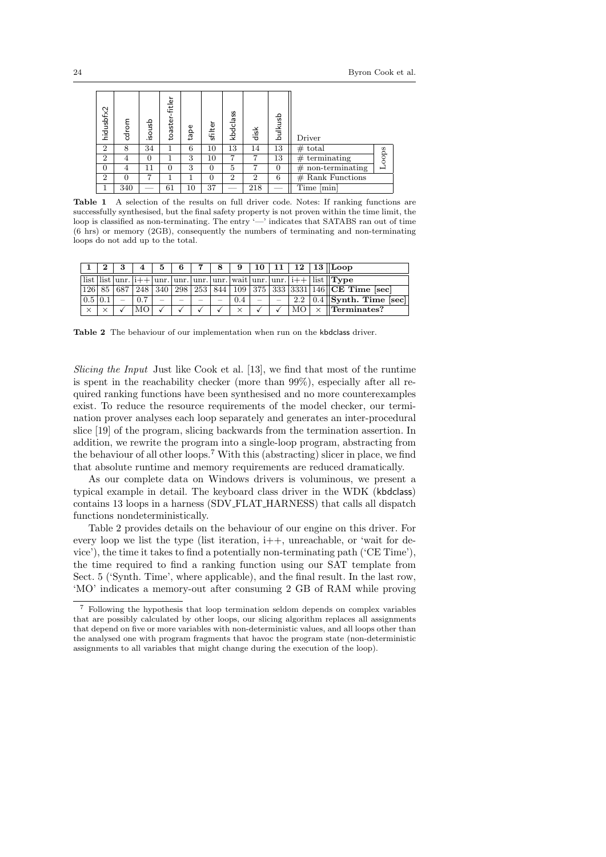| hidusbfx2      | cdrom | danosi | ┶<br>fitle<br>toaste | tape | sfilter | kbdclass       | disk           | bulkusb        | Driver                 |       |
|----------------|-------|--------|----------------------|------|---------|----------------|----------------|----------------|------------------------|-------|
| $\overline{2}$ | 8     | 34     |                      | 6    | $10\,$  | 13             | 14             | 13             | $_{\#}$<br>total       |       |
| $\overline{2}$ | 4     | 0      |                      | 3    | $10\,$  |                |                | 13             | terminating<br>$_{\#}$ | Loops |
| $\overline{0}$ | 4     | 11     | 0                    | 3    | 0       | 5              | ۳,             | $\overline{0}$ | non-terminating<br>#   |       |
| $\overline{2}$ | 0     |        |                      |      | 0       | $\overline{2}$ | $\overline{2}$ | 6              | Rank Functions<br>#    |       |
|                | 340   |        | 61                   | 10   | 37      |                | 218            |                | Time<br>min            |       |

Table 1 A selection of the results on full driver code. Notes: If ranking functions are successfully synthesised, but the final safety property is not proven within the time limit, the loop is classified as non-terminating. The entry '—' indicates that SATABS ran out of time (6 hrs) or memory (2GB), consequently the numbers of terminating and non-terminating loops do not add up to the total.

|                        |  |                       |  |  |          |  |  | $5 \mid 6 \mid 7 \mid 8 \mid 9 \mid 10 \mid 11 \mid 12 \mid 13 \mid$ Loop                                                                                                                                                  |
|------------------------|--|-----------------------|--|--|----------|--|--|----------------------------------------------------------------------------------------------------------------------------------------------------------------------------------------------------------------------------|
|                        |  |                       |  |  |          |  |  | $\vert \text{list} \vert \text{list} \vert \text{unr.} \vert i++\vert \text{unr.} \vert \text{unr.} \vert \text{unr.} \vert \text{unr.} \vert \text{unr.} \vert \text{unr.} \vert i++\vert \text{ list} \vert \text{Type}$ |
|                        |  |                       |  |  |          |  |  | $\left 126\right 85\right 687\left 248\right 340\left 298\right 253\left 844\right 109\left 375\right 333\left 3331\right 146\left \text{CE Time [sec]}\right$                                                             |
| $0.5 \,   \, 0.1 \,  $ |  | $ 0.7  -   - - - - -$ |  |  |          |  |  | $\boxed{0.4$ - - 2.2 0.4 Synth. Time [sec]                                                                                                                                                                                 |
| $\times$               |  |                       |  |  | $\times$ |  |  | $ MO  \times$ Terminates?                                                                                                                                                                                                  |

Table 2 The behaviour of our implementation when run on the kbdclass driver.

Slicing the Input Just like Cook et al. [13], we find that most of the runtime is spent in the reachability checker (more than 99%), especially after all required ranking functions have been synthesised and no more counterexamples exist. To reduce the resource requirements of the model checker, our termination prover analyses each loop separately and generates an inter-procedural slice [19] of the program, slicing backwards from the termination assertion. In addition, we rewrite the program into a single-loop program, abstracting from the behaviour of all other loops.<sup>7</sup> With this (abstracting) slicer in place, we find that absolute runtime and memory requirements are reduced dramatically.

As our complete data on Windows drivers is voluminous, we present a typical example in detail. The keyboard class driver in the WDK (kbdclass) contains 13 loops in a harness (SDV FLAT HARNESS) that calls all dispatch functions nondeterministically.

Table 2 provides details on the behaviour of our engine on this driver. For every loop we list the type (list iteration,  $i++$ , unreachable, or 'wait for device'), the time it takes to find a potentially non-terminating path ('CE Time'), the time required to find a ranking function using our SAT template from Sect. 5 ('Synth. Time', where applicable), and the final result. In the last row, 'MO' indicates a memory-out after consuming 2 GB of RAM while proving

<sup>7</sup> Following the hypothesis that loop termination seldom depends on complex variables that are possibly calculated by other loops, our slicing algorithm replaces all assignments that depend on five or more variables with non-deterministic values, and all loops other than the analysed one with program fragments that havoc the program state (non-deterministic assignments to all variables that might change during the execution of the loop).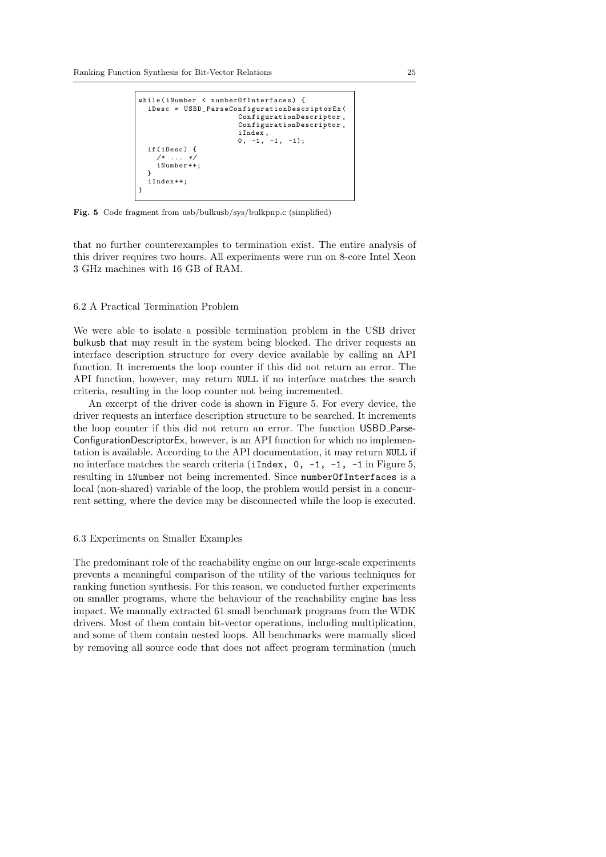```
while ( iNumber < numberOfInterfaces ) {
  iDesc = USBD_ParseConfigurationDescriptorEx (
                          ConfigurationDescriptor ,
                          ConfigurationDescriptor ,
                          iIndex ,
                         0, -1, -1, -1);
  if ( iDesc ) {
        \cdot ... \cdotiNumber ++;
  }
  iIndex ++;
}
```
Fig. 5 Code fragment from usb/bulkusb/sys/bulkpnp.c (simplified)

that no further counterexamples to termination exist. The entire analysis of this driver requires two hours. All experiments were run on 8-core Intel Xeon 3 GHz machines with 16 GB of RAM.

# 6.2 A Practical Termination Problem

We were able to isolate a possible termination problem in the USB driver bulkusb that may result in the system being blocked. The driver requests an interface description structure for every device available by calling an API function. It increments the loop counter if this did not return an error. The API function, however, may return NULL if no interface matches the search criteria, resulting in the loop counter not being incremented.

An excerpt of the driver code is shown in Figure 5. For every device, the driver requests an interface description structure to be searched. It increments the loop counter if this did not return an error. The function USBD Parse-ConfigurationDescriptorEx, however, is an API function for which no implementation is available. According to the API documentation, it may return NULL if no interface matches the search criteria (iIndex,  $0, -1, -1, -1$  in Figure 5, resulting in iNumber not being incremented. Since numberOfInterfaces is a local (non-shared) variable of the loop, the problem would persist in a concurrent setting, where the device may be disconnected while the loop is executed.

### 6.3 Experiments on Smaller Examples

The predominant role of the reachability engine on our large-scale experiments prevents a meaningful comparison of the utility of the various techniques for ranking function synthesis. For this reason, we conducted further experiments on smaller programs, where the behaviour of the reachability engine has less impact. We manually extracted 61 small benchmark programs from the WDK drivers. Most of them contain bit-vector operations, including multiplication, and some of them contain nested loops. All benchmarks were manually sliced by removing all source code that does not affect program termination (much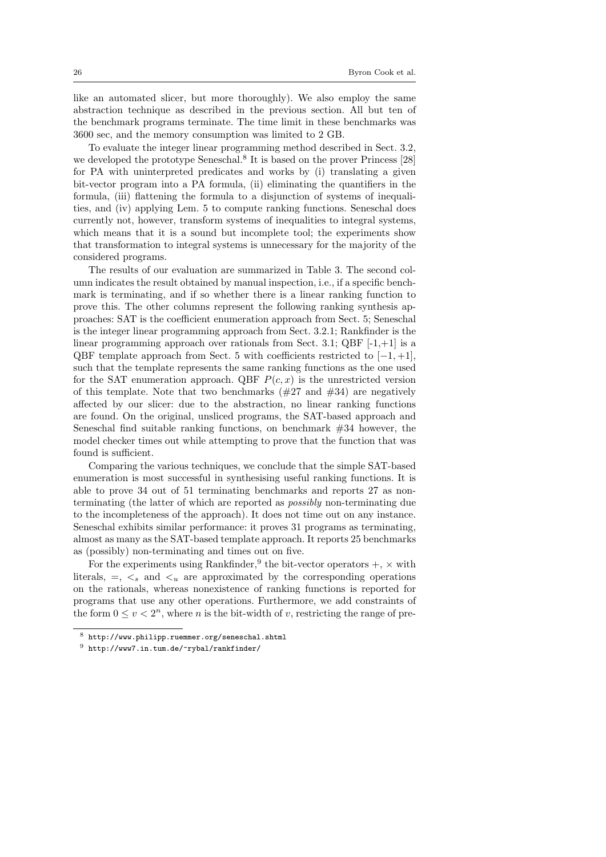like an automated slicer, but more thoroughly). We also employ the same abstraction technique as described in the previous section. All but ten of the benchmark programs terminate. The time limit in these benchmarks was 3600 sec, and the memory consumption was limited to 2 GB.

To evaluate the integer linear programming method described in Sect. 3.2, we developed the prototype Seneschal.<sup>8</sup> It is based on the prover Princess [28] for PA with uninterpreted predicates and works by (i) translating a given bit-vector program into a PA formula, (ii) eliminating the quantifiers in the formula, (iii) flattening the formula to a disjunction of systems of inequalities, and (iv) applying Lem. 5 to compute ranking functions. Seneschal does currently not, however, transform systems of inequalities to integral systems, which means that it is a sound but incomplete tool; the experiments show that transformation to integral systems is unnecessary for the majority of the considered programs.

The results of our evaluation are summarized in Table 3. The second column indicates the result obtained by manual inspection, i.e., if a specific benchmark is terminating, and if so whether there is a linear ranking function to prove this. The other columns represent the following ranking synthesis approaches: SAT is the coefficient enumeration approach from Sect. 5; Seneschal is the integer linear programming approach from Sect. 3.2.1; Rankfinder is the linear programming approach over rationals from Sect. 3.1; QBF  $[-1, +1]$  is a QBF template approach from Sect. 5 with coefficients restricted to  $[-1, +1]$ , such that the template represents the same ranking functions as the one used for the SAT enumeration approach. QBF  $P(c, x)$  is the unrestricted version of this template. Note that two benchmarks  $(\#27 \text{ and } \#34)$  are negatively affected by our slicer: due to the abstraction, no linear ranking functions are found. On the original, unsliced programs, the SAT-based approach and Seneschal find suitable ranking functions, on benchmark  $#34$  however, the model checker times out while attempting to prove that the function that was found is sufficient.

Comparing the various techniques, we conclude that the simple SAT-based enumeration is most successful in synthesising useful ranking functions. It is able to prove 34 out of 51 terminating benchmarks and reports 27 as nonterminating (the latter of which are reported as possibly non-terminating due to the incompleteness of the approach). It does not time out on any instance. Seneschal exhibits similar performance: it proves 31 programs as terminating, almost as many as the SAT-based template approach. It reports 25 benchmarks as (possibly) non-terminating and times out on five.

For the experiments using Rankfinder,<sup>9</sup> the bit-vector operators  $+$ ,  $\times$  with literals,  $=$ ,  $\lt_s$  and  $\lt_u$  are approximated by the corresponding operations on the rationals, whereas nonexistence of ranking functions is reported for programs that use any other operations. Furthermore, we add constraints of the form  $0 \le v < 2^n$ , where *n* is the bit-width of *v*, restricting the range of pre-

<sup>8</sup> http://www.philipp.ruemmer.org/seneschal.shtml

 $^9$ http://www7.in.tum.de/~rybal/rankfinder/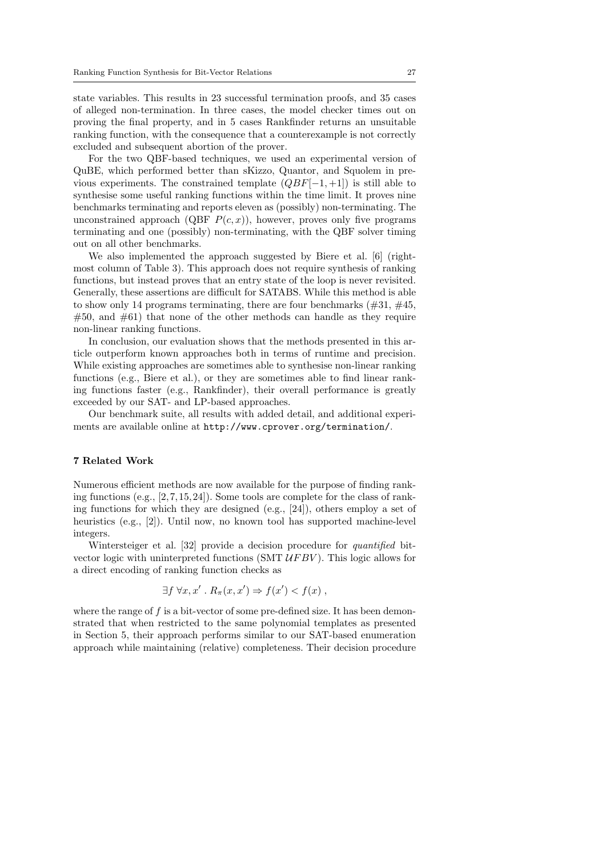state variables. This results in 23 successful termination proofs, and 35 cases of alleged non-termination. In three cases, the model checker times out on proving the final property, and in 5 cases Rankfinder returns an unsuitable ranking function, with the consequence that a counterexample is not correctly excluded and subsequent abortion of the prover.

For the two QBF-based techniques, we used an experimental version of QuBE, which performed better than sKizzo, Quantor, and Squolem in previous experiments. The constrained template  $(QBF[-1, +1])$  is still able to synthesise some useful ranking functions within the time limit. It proves nine benchmarks terminating and reports eleven as (possibly) non-terminating. The unconstrained approach (QBF  $P(c, x)$ ), however, proves only five programs terminating and one (possibly) non-terminating, with the QBF solver timing out on all other benchmarks.

We also implemented the approach suggested by Biere et al. [6] (rightmost column of Table 3). This approach does not require synthesis of ranking functions, but instead proves that an entry state of the loop is never revisited. Generally, these assertions are difficult for SATABS. While this method is able to show only 14 programs terminating, there are four benchmarks  $(\#31, \#45,$  $#50$ , and  $#61$ ) that none of the other methods can handle as they require non-linear ranking functions.

In conclusion, our evaluation shows that the methods presented in this article outperform known approaches both in terms of runtime and precision. While existing approaches are sometimes able to synthesise non-linear ranking functions (e.g., Biere et al.), or they are sometimes able to find linear ranking functions faster (e.g., Rankfinder), their overall performance is greatly exceeded by our SAT- and LP-based approaches.

Our benchmark suite, all results with added detail, and additional experiments are available online at http://www.cprover.org/termination/.

# 7 Related Work

Numerous efficient methods are now available for the purpose of finding ranking functions (e.g.,  $[2, 7, 15, 24]$ ). Some tools are complete for the class of ranking functions for which they are designed (e.g., [24]), others employ a set of heuristics (e.g., [2]). Until now, no known tool has supported machine-level integers.

Wintersteiger et al. [32] provide a decision procedure for *quantified* bitvector logic with uninterpreted functions (SMT  $UFBV$ ). This logic allows for a direct encoding of ranking function checks as

$$
\exists f \ \forall x, x' \ . R_{\pi}(x, x') \Rightarrow f(x') < f(x) \ ,
$$

where the range of  $f$  is a bit-vector of some pre-defined size. It has been demonstrated that when restricted to the same polynomial templates as presented in Section 5, their approach performs similar to our SAT-based enumeration approach while maintaining (relative) completeness. Their decision procedure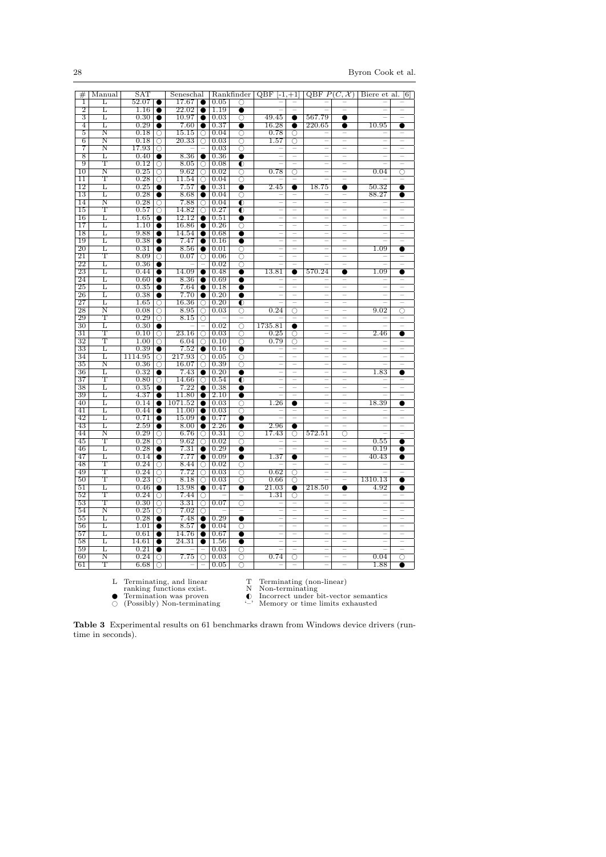| #                     | Manual                | $_{\rm SAT}$    |                    | Seneschal          |                          |              |                            | $\overline{\text{Rankfinder}} \,   \, \text{QBF} \, [-1,+1]$ |                                                                           | QBF $P(C, \mathcal{X})$  |                                                                           | Biere et al. [6]         |                          |
|-----------------------|-----------------------|-----------------|--------------------|--------------------|--------------------------|--------------|----------------------------|--------------------------------------------------------------|---------------------------------------------------------------------------|--------------------------|---------------------------------------------------------------------------|--------------------------|--------------------------|
| 1                     | L                     | 52.07           |                    | 17.67              |                          | 0.05         | O                          |                                                              |                                                                           |                          |                                                                           |                          |                          |
| $\overline{2}$        | Г                     | 1.16            |                    | $\overline{22.02}$ | $\bullet$                | 1.19         | $\bullet$                  |                                                              |                                                                           |                          |                                                                           |                          |                          |
| 3                     | Г                     | 0.30            | $\bullet$          | 10.97              | $\bullet$                | 0.03         | O                          | 49.45                                                        | $\bullet$                                                                 | 567.79                   | ●                                                                         |                          |                          |
| 4                     | L                     | 0.29            |                    | $7.60\,$           |                          | 0.37         | ●                          | 16.28                                                        | 0                                                                         | 220.65                   | e                                                                         | 10.95                    | e                        |
| 5                     | $\overline{\text{N}}$ | 0.18            | Ω                  | 15.15              | $\overline{\bigcirc}$    | 0.04         | O                          | 0.78                                                         | O                                                                         |                          |                                                                           |                          |                          |
| $\overline{6}$        | $_\mathrm{N}$         | 0.18            | O                  | 20.33              | $\overline{\circ}$       | 0.03         | $\overline{\circ}$         | 1.57                                                         | $\overline{\circ}$                                                        | $\overline{\phantom{a}}$ | $\overline{\phantom{a}}$                                                  | $\overline{\phantom{a}}$ |                          |
| 7                     | $\overline{\rm N}$    | 17.93           | $\overline{\circ}$ |                    |                          | 0.03         | $\overline{\circ}$         |                                                              | $\overline{\phantom{0}}$                                                  | $\overline{\phantom{a}}$ | $\overline{\phantom{a}}$                                                  | L.                       | $\overline{\phantom{a}}$ |
| 8                     | L                     | 0.40            | $\bullet$          | 8.36               | $\bullet$                | 0.36         |                            |                                                              |                                                                           |                          |                                                                           |                          |                          |
| 9                     | Т                     | 0.12            | Ω                  | 8.05               | Ω                        | 0.08         | $\bullet$                  |                                                              |                                                                           | $\overline{\phantom{0}}$ | $\overline{\phantom{a}}$                                                  |                          | $\overline{\phantom{a}}$ |
| 10                    | $\overline{\rm N}$    | 0.25            | $\overline{\circ}$ | 9.62               | $\overline{\circ}$       | 0.02         | $\overline{\circ}$         | 0.78                                                         | $\circ$                                                                   | ÷                        | ÷                                                                         | 0.04                     | ō                        |
| $\overline{11}$       | т                     | 0.28            | О                  | 11.54              | $\overline{\circ}$       | 0.04         | ਠ                          |                                                              |                                                                           |                          |                                                                           |                          |                          |
| 12<br>13              | L<br>Г                | 0.25<br>0.28    |                    | 7.57<br>8.68       | ●                        | 0.31         |                            | 2.45                                                         |                                                                           | 18.75                    |                                                                           | 50.32<br>88.27           | e                        |
| 14                    | Ν                     | 0.28            | O                  | 7.88               | O                        | 0.04<br>0.04 | Ω                          | $\overline{\phantom{a}}$                                     | $\overline{\phantom{0}}$                                                  | $\overline{\phantom{0}}$ | $\overline{\phantom{a}}$                                                  |                          |                          |
| 15                    | т                     | 0.57            | $\overline{\circ}$ | 14.82              | $\overline{\circ}$       | 0.27         | ◐<br>$\overline{\bullet}$  | $\overline{\phantom{a}}$                                     | $\overline{\phantom{0}}$                                                  | $\overline{\phantom{a}}$ | $\overline{\phantom{a}}$                                                  | Ξ                        |                          |
| 16                    | L                     | 1.65            | $\bullet$          | 12.12              |                          | 0.51         | $\bullet$                  |                                                              |                                                                           |                          |                                                                           |                          |                          |
| $\overline{17}$       | Г                     | 1.10            |                    | 16.86              |                          | 0.26         | ਨ                          | $\overline{\phantom{m}}$                                     | $\hspace{1.0cm} \rule{1.5cm}{0.15cm} \hspace{1.0cm} \rule{1.5cm}{0.15cm}$ | $\overline{\phantom{a}}$ | $\overline{\phantom{a}}$                                                  | $\overline{\phantom{a}}$ | $\overline{\phantom{0}}$ |
| 18                    | L                     | 9.88            |                    | 14.54              |                          | 0.68         | e                          |                                                              | $\overline{\phantom{a}}$                                                  |                          |                                                                           |                          |                          |
| 19                    | L                     | 0.38            |                    | 7.47               | $\bullet$                | 0.16         | 0                          |                                                              | ÷                                                                         |                          | ÷                                                                         |                          |                          |
| 20                    | L                     | 0.31            | $\bullet$          | 8.56               |                          | 0.01         | Ō                          |                                                              | $\overline{\phantom{a}}$                                                  |                          |                                                                           | 1.09                     | e                        |
| $\overline{21}$       | т                     | 8.09            | Ω                  | 0.07               | $\overline{\circ}$       | 0.06         | $\overline{\circ}$         | ÷                                                            | ÷                                                                         | $\overline{\phantom{a}}$ | $\overline{\phantom{a}}$                                                  |                          |                          |
| $\overline{22}$       | Г                     | 0.36            |                    |                    |                          | 0.02         | ਨ                          |                                                              |                                                                           |                          | $\overline{\phantom{a}}$                                                  |                          |                          |
| 23                    | L                     | 0.44            |                    | 14.09              |                          | 0.48         | ●                          | 13.81                                                        | $\bullet$                                                                 | 570.24                   | $\bullet$                                                                 | 1.09                     | 0                        |
| 24                    | L                     | 0.60            |                    | 8.36               |                          | 0.69         | 0                          |                                                              |                                                                           |                          |                                                                           |                          |                          |
| 25                    | L                     | 0.35            | $\bullet$          | 7.64               |                          | 0.18         | 0                          | $\overline{\phantom{a}}$                                     | $\hspace{1.0cm} \rule{1.5cm}{0.15cm} \hspace{1.0cm} \rule{1.5cm}{0.15cm}$ | $\overline{\phantom{0}}$ | $\hspace{1.0cm} \rule{1.5cm}{0.15cm} \hspace{1.0cm} \rule{1.5cm}{0.15cm}$ | ÷                        | $\overline{\phantom{0}}$ |
| 26                    | Г                     | 0.38            |                    | 7.70               |                          | 0.20         | e                          |                                                              | ÷                                                                         | $\overline{\phantom{0}}$ | ۳                                                                         |                          |                          |
| $\overline{27}$       | T.                    | 1.65            | О                  | 16.36              | Ω                        | 0.20         | ◐                          |                                                              | $\overline{\phantom{0}}$                                                  | $\overline{\phantom{0}}$ | -                                                                         |                          |                          |
| 28                    | Ν                     | 0.08            | Ω                  | 8.95               | Ω                        | 0.03         | O                          | 0.24                                                         | Ω                                                                         |                          |                                                                           | 9.02                     | C                        |
| 29                    | Τ                     | 0.29            | O                  | 8.15               | $\circ$                  |              |                            |                                                              |                                                                           | L.                       | $\overline{\phantom{a}}$                                                  |                          |                          |
| 30                    | L                     | 0.30            |                    |                    | $\overline{\phantom{0}}$ | 0.02         | $\overline{\bigcirc}$      | 1735.81                                                      | $\bullet$                                                                 | L.                       | $\overline{\phantom{a}}$                                                  |                          |                          |
| $\overline{31}$       | Ͳ                     | 0.10            | Ω                  | 23.16              | $\overline{\circ}$       | 0.03         | $\overline{\circ}$         | 0.25                                                         | ਨ                                                                         | Ξ                        | Ξ                                                                         | 2.46                     | e                        |
| $\overline{32}$<br>33 | Т<br>L                | $1.00\,$        | ∩                  | 6.04<br>7.52       | О                        | 0.10         | ō                          | 0.79                                                         | O                                                                         | L.                       | $\overline{\phantom{a}}$                                                  | $\overline{\phantom{0}}$ | $\overline{\phantom{0}}$ |
| 34                    | L                     | 0.39<br>1114.95 | $\bullet$<br>O     | 217.93             | $\bullet$<br>Ω           | 0.16<br>0.05 | O                          |                                                              | $\hspace{1.0cm} - \hspace{1.0cm}$<br>÷                                    |                          | $\overline{\phantom{0}}$                                                  |                          |                          |
| 35                    | $\overline{\text{N}}$ | 0.36            | O                  | 16.07              | О                        | 0.39         | ō                          | -                                                            | $\overline{\phantom{0}}$                                                  | -                        | -                                                                         |                          |                          |
| 36                    | L                     | 0.32            |                    | 7.43               | 0                        | 0.20         | ●                          |                                                              | ÷                                                                         |                          |                                                                           | $1.\overline{83}$        | e                        |
| $\overline{37}$       | т                     | 0.80            | O                  | 14.66              | $\overline{\circ}$       | 0.54         | $\overline{\bullet}$       | $\overline{\phantom{a}}$                                     | $\sim$                                                                    | $\overline{\phantom{a}}$ | $\sim$                                                                    |                          |                          |
| 38                    | L                     | 0.35            |                    | 7.22               |                          | 0.38         | 0                          | $\overline{\phantom{0}}$                                     | $\overline{\phantom{a}}$                                                  | $\overline{\phantom{0}}$ | $\overline{\phantom{a}}$                                                  | $\overline{\phantom{0}}$ |                          |
| 39                    | L                     | 4.37            | ●                  | 11.80              | ●                        | 2.10         | 0                          |                                                              |                                                                           |                          |                                                                           |                          |                          |
| 40                    | L                     | 0.14            | $\bullet$          | 1071.52            |                          | 0.03         | O                          | 1.26                                                         | $\bullet$                                                                 |                          |                                                                           | 18.39                    | O                        |
| 41                    | L                     | 0.44            |                    | 11.00              | $\bullet$                | 0.03         | O                          |                                                              |                                                                           | $\overline{\phantom{0}}$ | $\overline{\phantom{a}}$                                                  |                          |                          |
| 42                    | L                     | 0.71            |                    | 15.09              |                          | 0.77         | 0                          |                                                              |                                                                           | -                        | ÷                                                                         | ۰                        |                          |
| 43                    | L                     | 2.59            |                    | 8.00               |                          | 2.26         | $\bullet$                  | 2.96                                                         | $\bullet$                                                                 |                          |                                                                           |                          |                          |
| 44                    | Ν                     | 0.29            | Ω                  | 6.76               | Ω                        | 0.31         | O                          | 17.43                                                        | Ω                                                                         | 572.51                   | Ω                                                                         |                          |                          |
| 45                    | т                     | 0.28            | Ω                  | 9.62               | ਨ                        | 0.02         | $\overline{\circ}$         |                                                              |                                                                           |                          |                                                                           | 0.55                     | 0                        |
| 46                    | L                     | 0.28            |                    | 7.31               | $\bullet$                | 0.29         | ●                          |                                                              |                                                                           | $\overline{\phantom{0}}$ | $\overline{\phantom{m}}$                                                  | 0.19                     | O                        |
| 47                    | L                     | 0.14            | $\bullet$          | 7.77               |                          | 0.09         |                            | 1.37                                                         | $\bullet$                                                                 |                          |                                                                           | 40.43                    | e                        |
| 48                    | т<br>Т                | 0.24            | Ω                  | 8.44               | Ω                        | 0.02         | O                          |                                                              |                                                                           |                          |                                                                           |                          |                          |
| 49<br>50              | $\overline{\text{T}}$ | 0.24            | Ω                  | 7.72               | Ō                        | 0.03         | O                          | 0.62                                                         | O                                                                         | L                        | $\overline{\phantom{a}}$<br>$\overline{\phantom{a}}$                      |                          | $\bullet$                |
| 51                    | L                     | 0.23<br>0.46    | Ω                  | 8.18<br>13.98      | Ω                        | 0.03<br>0.47 | $\overline{\bigcirc}$<br>0 | 0.66<br>21.03                                                | Ω                                                                         | 218.50                   |                                                                           | 1310.13<br>4.92          | e                        |
| $\overline{52}$       | т                     | 0.24            | Ω                  | 7.44               | Ω                        |              |                            | 1.31                                                         | $\bullet$<br>ਨ                                                            |                          |                                                                           |                          |                          |
| $_{53}$               | т                     | 0.30            | $\circ$            | 3.31               | $\overline{\circ}$       | 0.07         | ਠ                          |                                                              |                                                                           | ÷                        |                                                                           |                          |                          |
| 54                    | Ν                     | 0.25            | O                  | 7.02               | Ω                        |              | -                          | $\overline{\phantom{a}}$                                     | $\overline{\phantom{0}}$                                                  | -                        | $\overline{\phantom{a}}$                                                  | -                        | $\qquad \qquad -$        |
| 55                    | L                     | 0.28            | $\bullet$          | 7.48               | ●                        | 0.29         | 0                          |                                                              | ÷                                                                         |                          |                                                                           |                          |                          |
| 56                    | L                     | 1.01            |                    | 8.57               |                          | 0.04         | O                          |                                                              | $\overline{\phantom{a}}$                                                  |                          |                                                                           |                          |                          |
| 57                    | Г                     | 0.61            |                    | 14.76              | $\bullet$                | 0.67         | 0                          | $\overline{\phantom{a}}$                                     | $\overline{\phantom{0}}$                                                  | $\overline{\phantom{0}}$ | $\overline{\phantom{a}}$                                                  | $\overline{\phantom{a}}$ | L.                       |
| 58                    | L                     | 14.61           |                    | 24.31              |                          | 1.56         | ●                          | $\overline{a}$                                               | Ξ                                                                         | $\overline{\phantom{a}}$ | $\overline{\phantom{a}}$                                                  | Ξ                        | $\overline{\phantom{a}}$ |
| 59                    | L                     | $_{0.21}$       |                    |                    |                          | 0.03         | O                          |                                                              |                                                                           |                          |                                                                           |                          |                          |
| 60                    | $\overline{\text{N}}$ | 0.24            | O                  | 7.75               | О                        | 0.03         | O                          | 0.74                                                         | O                                                                         | $\overline{\phantom{0}}$ | ÷                                                                         | 0.04                     | O                        |
| 61                    | т                     | 6.68            | O                  |                    |                          | 0.05         | ਠ                          |                                                              |                                                                           |                          | $\overline{\phantom{a}}$                                                  | 1.88                     |                          |

L Terminating, and linear T Terminating (non-linear)<br>
ranking functions exist. N Non-terminating

Termination was proven G# Incorrect under bit-vector semantics # (Possibly) Non-terminating '–' Memory or time limits exhausted

Table 3 Experimental results on 61 benchmarks drawn from Windows device drivers (runtime in seconds).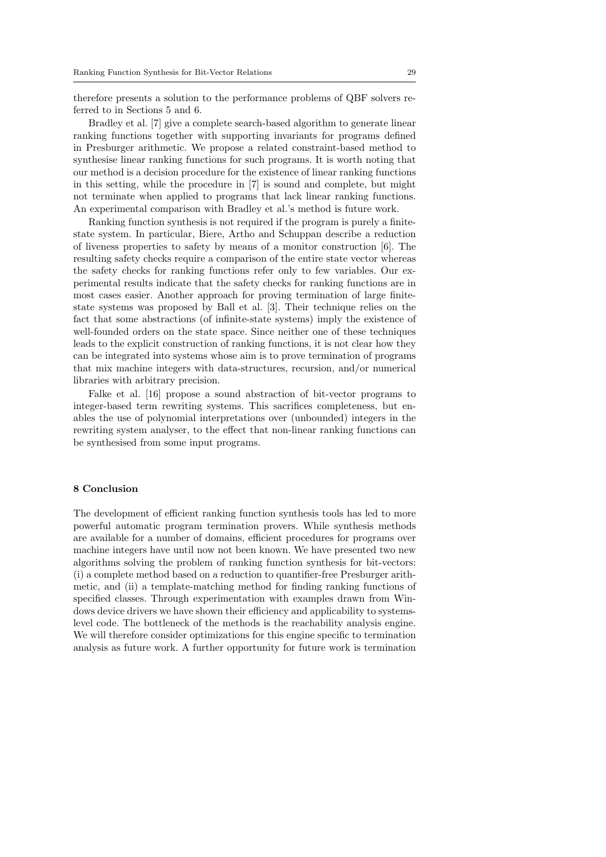therefore presents a solution to the performance problems of QBF solvers referred to in Sections 5 and 6.

Bradley et al. [7] give a complete search-based algorithm to generate linear ranking functions together with supporting invariants for programs defined in Presburger arithmetic. We propose a related constraint-based method to synthesise linear ranking functions for such programs. It is worth noting that our method is a decision procedure for the existence of linear ranking functions in this setting, while the procedure in [7] is sound and complete, but might not terminate when applied to programs that lack linear ranking functions. An experimental comparison with Bradley et al.'s method is future work.

Ranking function synthesis is not required if the program is purely a finitestate system. In particular, Biere, Artho and Schuppan describe a reduction of liveness properties to safety by means of a monitor construction [6]. The resulting safety checks require a comparison of the entire state vector whereas the safety checks for ranking functions refer only to few variables. Our experimental results indicate that the safety checks for ranking functions are in most cases easier. Another approach for proving termination of large finitestate systems was proposed by Ball et al. [3]. Their technique relies on the fact that some abstractions (of infinite-state systems) imply the existence of well-founded orders on the state space. Since neither one of these techniques leads to the explicit construction of ranking functions, it is not clear how they can be integrated into systems whose aim is to prove termination of programs that mix machine integers with data-structures, recursion, and/or numerical libraries with arbitrary precision.

Falke et al. [16] propose a sound abstraction of bit-vector programs to integer-based term rewriting systems. This sacrifices completeness, but enables the use of polynomial interpretations over (unbounded) integers in the rewriting system analyser, to the effect that non-linear ranking functions can be synthesised from some input programs.

# 8 Conclusion

The development of efficient ranking function synthesis tools has led to more powerful automatic program termination provers. While synthesis methods are available for a number of domains, efficient procedures for programs over machine integers have until now not been known. We have presented two new algorithms solving the problem of ranking function synthesis for bit-vectors: (i) a complete method based on a reduction to quantifier-free Presburger arithmetic, and (ii) a template-matching method for finding ranking functions of specified classes. Through experimentation with examples drawn from Windows device drivers we have shown their efficiency and applicability to systemslevel code. The bottleneck of the methods is the reachability analysis engine. We will therefore consider optimizations for this engine specific to termination analysis as future work. A further opportunity for future work is termination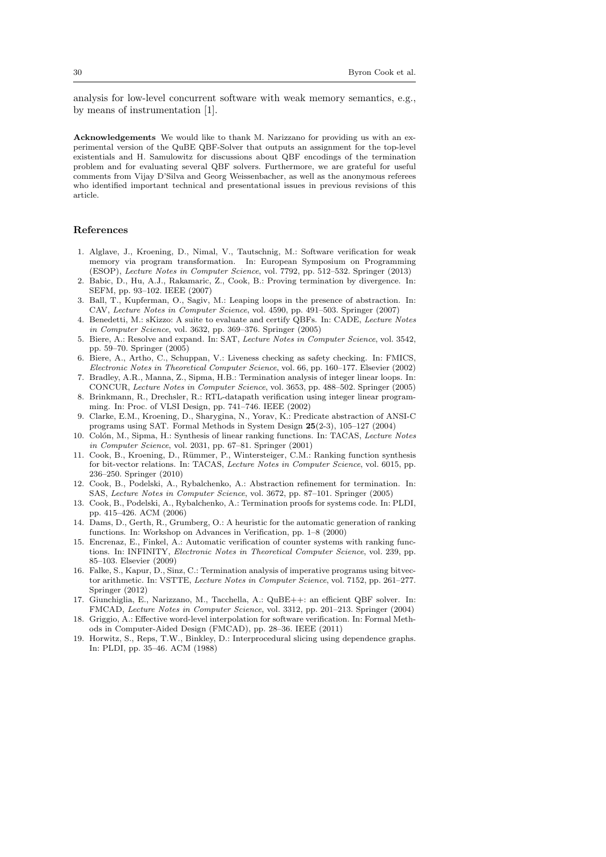analysis for low-level concurrent software with weak memory semantics, e.g., by means of instrumentation [1].

Acknowledgements We would like to thank M. Narizzano for providing us with an experimental version of the QuBE QBF-Solver that outputs an assignment for the top-level existentials and H. Samulowitz for discussions about QBF encodings of the termination problem and for evaluating several QBF solvers. Furthermore, we are grateful for useful comments from Vijay D'Silva and Georg Weissenbacher, as well as the anonymous referees who identified important technical and presentational issues in previous revisions of this article.

#### References

- 1. Alglave, J., Kroening, D., Nimal, V., Tautschnig, M.: Software verification for weak memory via program transformation. In: European Symposium on Programming (ESOP), Lecture Notes in Computer Science, vol. 7792, pp. 512–532. Springer (2013)
- 2. Babic, D., Hu, A.J., Rakamaric, Z., Cook, B.: Proving termination by divergence. In: SEFM, pp. 93–102. IEEE (2007)
- 3. Ball, T., Kupferman, O., Sagiv, M.: Leaping loops in the presence of abstraction. In: CAV, Lecture Notes in Computer Science, vol. 4590, pp. 491–503. Springer (2007)
- 4. Benedetti, M.: sKizzo: A suite to evaluate and certify QBFs. In: CADE, Lecture Notes in Computer Science, vol. 3632, pp. 369–376. Springer (2005)
- 5. Biere, A.: Resolve and expand. In: SAT, Lecture Notes in Computer Science, vol. 3542, pp. 59–70. Springer (2005)
- 6. Biere, A., Artho, C., Schuppan, V.: Liveness checking as safety checking. In: FMICS, Electronic Notes in Theoretical Computer Science, vol. 66, pp. 160–177. Elsevier (2002)
- 7. Bradley, A.R., Manna, Z., Sipma, H.B.: Termination analysis of integer linear loops. In: CONCUR, Lecture Notes in Computer Science, vol. 3653, pp. 488–502. Springer (2005)
- 8. Brinkmann, R., Drechsler, R.: RTL-datapath verification using integer linear programming. In: Proc. of VLSI Design, pp. 741–746. IEEE (2002)
- 9. Clarke, E.M., Kroening, D., Sharygina, N., Yorav, K.: Predicate abstraction of ANSI-C programs using SAT. Formal Methods in System Design 25(2-3), 105–127 (2004)
- 10. Colón, M., Sipma, H.: Synthesis of linear ranking functions. In: TACAS, Lecture Notes in Computer Science, vol. 2031, pp. 67–81. Springer (2001)
- 11. Cook, B., Kroening, D., Rümmer, P., Wintersteiger, C.M.: Ranking function synthesis for bit-vector relations. In: TACAS, Lecture Notes in Computer Science, vol. 6015, pp. 236–250. Springer (2010)
- 12. Cook, B., Podelski, A., Rybalchenko, A.: Abstraction refinement for termination. In: SAS, Lecture Notes in Computer Science, vol. 3672, pp. 87–101. Springer (2005)
- 13. Cook, B., Podelski, A., Rybalchenko, A.: Termination proofs for systems code. In: PLDI, pp. 415–426. ACM (2006)
- 14. Dams, D., Gerth, R., Grumberg, O.: A heuristic for the automatic generation of ranking functions. In: Workshop on Advances in Verification, pp. 1–8 (2000)
- 15. Encrenaz, E., Finkel, A.: Automatic verification of counter systems with ranking functions. In: INFINITY, Electronic Notes in Theoretical Computer Science, vol. 239, pp. 85–103. Elsevier (2009)
- 16. Falke, S., Kapur, D., Sinz, C.: Termination analysis of imperative programs using bitvector arithmetic. In: VSTTE, Lecture Notes in Computer Science, vol. 7152, pp. 261–277. Springer (2012)
- 17. Giunchiglia, E., Narizzano, M., Tacchella, A.: QuBE++: an efficient QBF solver. In: FMCAD, Lecture Notes in Computer Science, vol. 3312, pp. 201–213. Springer (2004)
- 18. Griggio, A.: Effective word-level interpolation for software verification. In: Formal Methods in Computer-Aided Design (FMCAD), pp. 28–36. IEEE (2011)
- 19. Horwitz, S., Reps, T.W., Binkley, D.: Interprocedural slicing using dependence graphs. In: PLDI, pp. 35–46. ACM (1988)